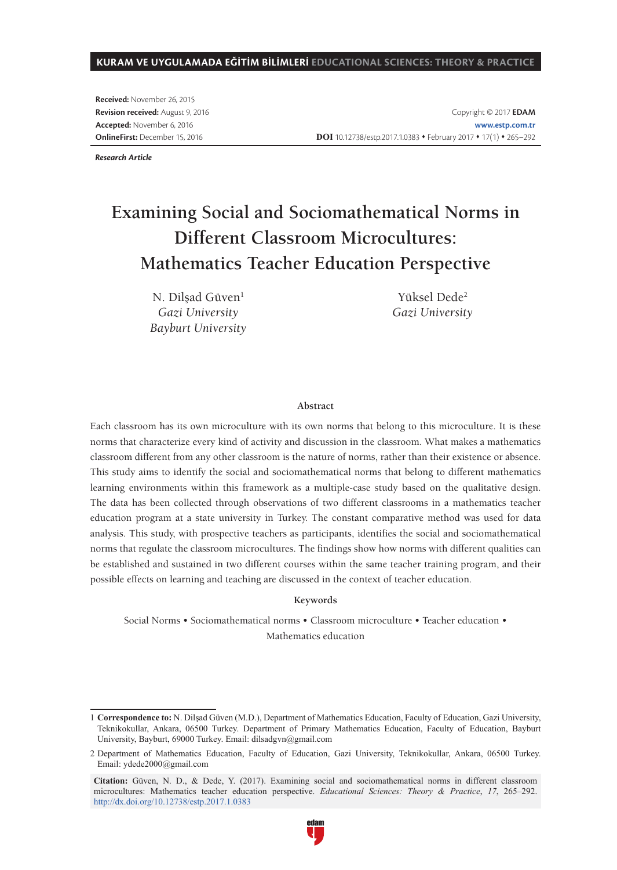#### **KURAM VE UYGULAMADA EĞİTİM BİLİMLERİ EDUCATIONAL SCIENCES: THEORY & PRACTICE**

**Received:** November 26, 2015 **Revision received:** August 9, 2016 **Accepted:** November 6, 2016 **OnlineFirst:** December 15, 2016

*Research Article*

# **Examining Social and Sociomathematical Norms in Different Classroom Microcultures: Mathematics Teacher Education Perspective**

N. Dilşad Güven<sup>1</sup> *Gazi University Bayburt University*

Yüksel Dede<sup>2</sup> *Gazi University*

#### **Abstract**

Each classroom has its own microculture with its own norms that belong to this microculture. It is these norms that characterize every kind of activity and discussion in the classroom. What makes a mathematics classroom different from any other classroom is the nature of norms, rather than their existence or absence. This study aims to identify the social and sociomathematical norms that belong to different mathematics learning environments within this framework as a multiple-case study based on the qualitative design. The data has been collected through observations of two different classrooms in a mathematics teacher education program at a state university in Turkey. The constant comparative method was used for data analysis. This study, with prospective teachers as participants, identifies the social and sociomathematical norms that regulate the classroom microcultures. The findings show how norms with different qualities can be established and sustained in two different courses within the same teacher training program, and their possible effects on learning and teaching are discussed in the context of teacher education.

#### **Keywords**

Social Norms • Sociomathematical norms • Classroom microculture • Teacher education • Mathematics education

<sup>1</sup> **Correspondence to:** N. Dilşad Güven (M.D.), Department of Mathematics Education, Faculty of Education, Gazi University, Teknikokullar, Ankara, 06500 Turkey. Department of Primary Mathematics Education, Faculty of Education, Bayburt University, Bayburt, 69000 Turkey. Email: dilsadgvn@gmail.com

<sup>2</sup> Department of Mathematics Education, Faculty of Education, Gazi University, Teknikokullar, Ankara, 06500 Turkey. Email: ydede2000@gmail.com

**Citation:** Güven, N. D., & Dede, Y. (2017). Examining social and sociomathematical norms in different classroom microcultures: Mathematics teacher education perspective. *Educational Sciences: Theory & Practice*, *17*, 265–292. http://dx.doi.org/10.12738/estp.2017.1.0383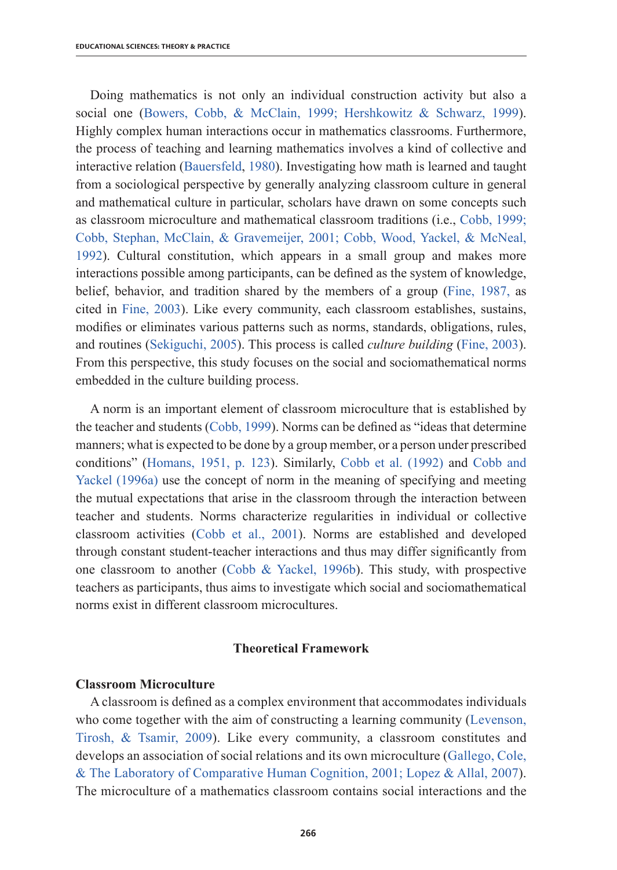Doing mathematics is not only an individual construction activity but also a social one (Bowers, Cobb, & McClain, 1999; Hershkowitz & Schwarz, 1999). Highly complex human interactions occur in mathematics classrooms. Furthermore, the process of teaching and learning mathematics involves a kind of collective and interactive relation (Bauersfeld, 1980). Investigating how math is learned and taught from a sociological perspective by generally analyzing classroom culture in general and mathematical culture in particular, scholars have drawn on some concepts such as classroom microculture and mathematical classroom traditions (i.e., Cobb, 1999; Cobb, Stephan, McClain, & Gravemeijer, 2001; Cobb, Wood, Yackel, & McNeal, 1992). Cultural constitution, which appears in a small group and makes more interactions possible among participants, can be defined as the system of knowledge, belief, behavior, and tradition shared by the members of a group (Fine, 1987, as cited in Fine, 2003). Like every community, each classroom establishes, sustains, modifies or eliminates various patterns such as norms, standards, obligations, rules, and routines (Sekiguchi, 2005). This process is called *culture building* (Fine, 2003). From this perspective, this study focuses on the social and sociomathematical norms embedded in the culture building process.

A norm is an important element of classroom microculture that is established by the teacher and students (Cobb, 1999). Norms can be defined as "ideas that determine manners; what is expected to be done by a group member, or a person under prescribed conditions" (Homans, 1951, p. 123). Similarly, Cobb et al. (1992) and Cobb and Yackel (1996a) use the concept of norm in the meaning of specifying and meeting the mutual expectations that arise in the classroom through the interaction between teacher and students. Norms characterize regularities in individual or collective classroom activities (Cobb et al., 2001). Norms are established and developed through constant student-teacher interactions and thus may differ significantly from one classroom to another (Cobb & Yackel, 1996b). This study, with prospective teachers as participants, thus aims to investigate which social and sociomathematical norms exist in different classroom microcultures.

## **Theoretical Framework**

## **Classroom Microculture**

A classroom is defined as a complex environment that accommodates individuals who come together with the aim of constructing a learning community (Levenson, Tirosh, & Tsamir, 2009). Like every community, a classroom constitutes and develops an association of social relations and its own microculture (Gallego, Cole, & The Laboratory of Comparative Human Cognition, 2001; Lopez & Allal, 2007). The microculture of a mathematics classroom contains social interactions and the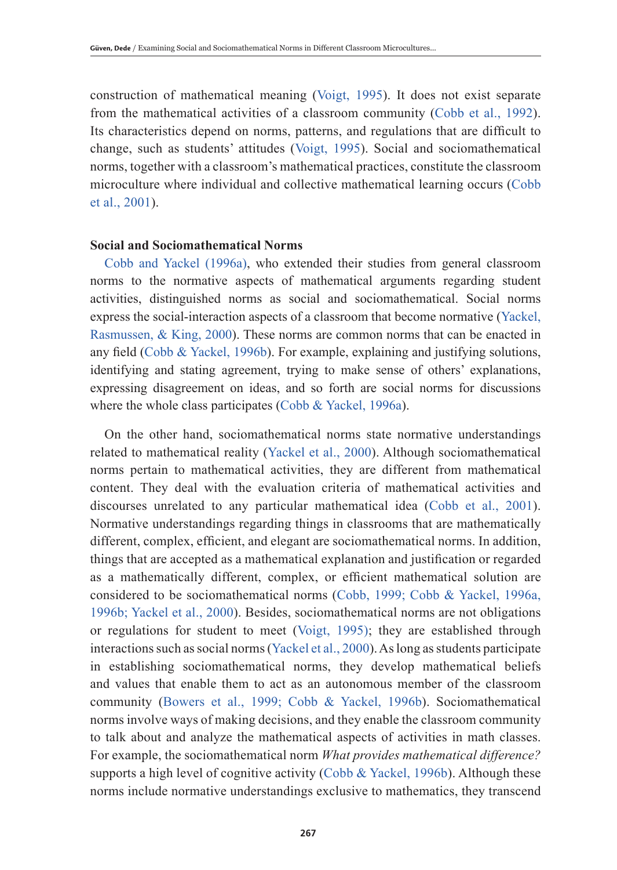construction of mathematical meaning (Voigt, 1995). It does not exist separate from the mathematical activities of a classroom community (Cobb et al., 1992). Its characteristics depend on norms, patterns, and regulations that are difficult to change, such as students' attitudes (Voigt, 1995). Social and sociomathematical norms, together with a classroom's mathematical practices, constitute the classroom microculture where individual and collective mathematical learning occurs (Cobb et al., 2001).

## **Social and Sociomathematical Norms**

Cobb and Yackel (1996a), who extended their studies from general classroom norms to the normative aspects of mathematical arguments regarding student activities, distinguished norms as social and sociomathematical. Social norms express the social-interaction aspects of a classroom that become normative (Yackel, Rasmussen, & King, 2000). These norms are common norms that can be enacted in any field (Cobb & Yackel, 1996b). For example, explaining and justifying solutions, identifying and stating agreement, trying to make sense of others' explanations, expressing disagreement on ideas, and so forth are social norms for discussions where the whole class participates (Cobb & Yackel, 1996a).

On the other hand, sociomathematical norms state normative understandings related to mathematical reality (Yackel et al., 2000). Although sociomathematical norms pertain to mathematical activities, they are different from mathematical content. They deal with the evaluation criteria of mathematical activities and discourses unrelated to any particular mathematical idea (Cobb et al., 2001). Normative understandings regarding things in classrooms that are mathematically different, complex, efficient, and elegant are sociomathematical norms. In addition, things that are accepted as a mathematical explanation and justification or regarded as a mathematically different, complex, or efficient mathematical solution are considered to be sociomathematical norms (Cobb, 1999; Cobb & Yackel, 1996a, 1996b; Yackel et al., 2000). Besides, sociomathematical norms are not obligations or regulations for student to meet (Voigt, 1995); they are established through interactions such as social norms (Yackel et al., 2000). As long as students participate in establishing sociomathematical norms, they develop mathematical beliefs and values that enable them to act as an autonomous member of the classroom community (Bowers et al., 1999; Cobb & Yackel, 1996b). Sociomathematical norms involve ways of making decisions, and they enable the classroom community to talk about and analyze the mathematical aspects of activities in math classes. For example, the sociomathematical norm *What provides mathematical difference?* supports a high level of cognitive activity (Cobb & Yackel, 1996b). Although these norms include normative understandings exclusive to mathematics, they transcend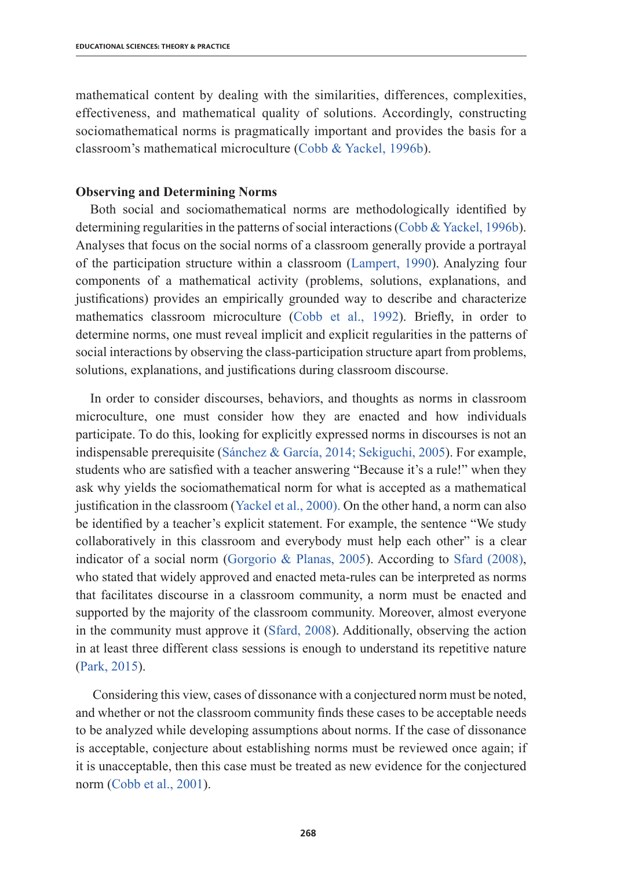mathematical content by dealing with the similarities, differences, complexities, effectiveness, and mathematical quality of solutions. Accordingly, constructing sociomathematical norms is pragmatically important and provides the basis for a classroom's mathematical microculture (Cobb & Yackel, 1996b).

### **Observing and Determining Norms**

Both social and sociomathematical norms are methodologically identified by determining regularities in the patterns of social interactions (Cobb & Yackel, 1996b). Analyses that focus on the social norms of a classroom generally provide a portrayal of the participation structure within a classroom (Lampert, 1990). Analyzing four components of a mathematical activity (problems, solutions, explanations, and justifications) provides an empirically grounded way to describe and characterize mathematics classroom microculture (Cobb et al., 1992). Briefly, in order to determine norms, one must reveal implicit and explicit regularities in the patterns of social interactions by observing the class-participation structure apart from problems, solutions, explanations, and justifications during classroom discourse.

In order to consider discourses, behaviors, and thoughts as norms in classroom microculture, one must consider how they are enacted and how individuals participate. To do this, looking for explicitly expressed norms in discourses is not an indispensable prerequisite (Sánchez & García, 2014; Sekiguchi, 2005). For example, students who are satisfied with a teacher answering "Because it's a rule!" when they ask why yields the sociomathematical norm for what is accepted as a mathematical justification in the classroom (Yackel et al., 2000). On the other hand, a norm can also be identified by a teacher's explicit statement. For example, the sentence "We study collaboratively in this classroom and everybody must help each other" is a clear indicator of a social norm (Gorgorio & Planas, 2005). According to Sfard (2008), who stated that widely approved and enacted meta-rules can be interpreted as norms that facilitates discourse in a classroom community, a norm must be enacted and supported by the majority of the classroom community. Moreover, almost everyone in the community must approve it (Sfard, 2008). Additionally, observing the action in at least three different class sessions is enough to understand its repetitive nature (Park, 2015).

 Considering this view, cases of dissonance with a conjectured norm must be noted, and whether or not the classroom community finds these cases to be acceptable needs to be analyzed while developing assumptions about norms. If the case of dissonance is acceptable, conjecture about establishing norms must be reviewed once again; if it is unacceptable, then this case must be treated as new evidence for the conjectured norm (Cobb et al., 2001).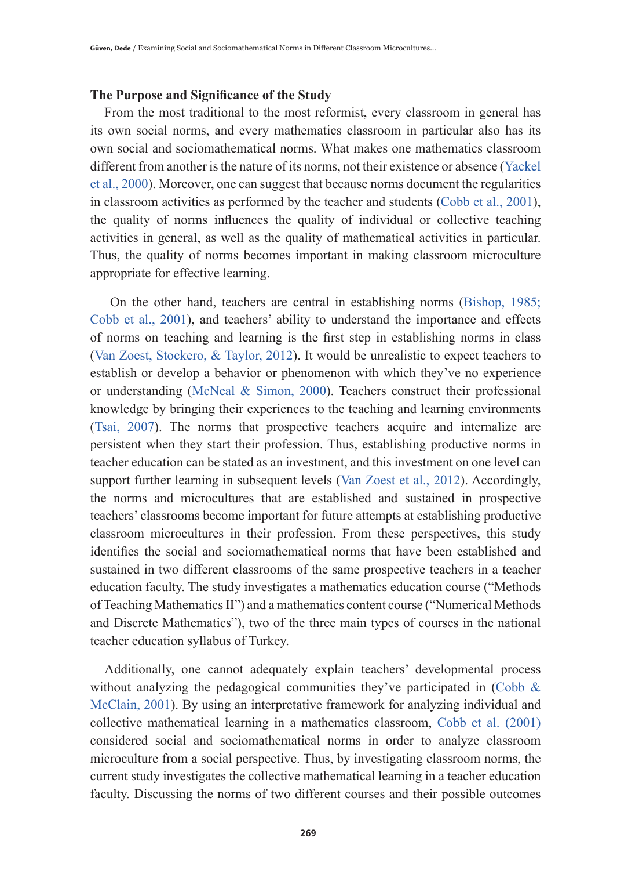## **The Purpose and Significance of the Study**

From the most traditional to the most reformist, every classroom in general has its own social norms, and every mathematics classroom in particular also has its own social and sociomathematical norms. What makes one mathematics classroom different from another is the nature of its norms, not their existence or absence (Yackel et al., 2000). Moreover, one can suggest that because norms document the regularities in classroom activities as performed by the teacher and students (Cobb et al., 2001), the quality of norms influences the quality of individual or collective teaching activities in general, as well as the quality of mathematical activities in particular. Thus, the quality of norms becomes important in making classroom microculture appropriate for effective learning.

 On the other hand, teachers are central in establishing norms (Bishop, 1985; Cobb et al., 2001), and teachers' ability to understand the importance and effects of norms on teaching and learning is the first step in establishing norms in class (Van Zoest, Stockero, & Taylor, 2012). It would be unrealistic to expect teachers to establish or develop a behavior or phenomenon with which they've no experience or understanding (McNeal & Simon, 2000). Teachers construct their professional knowledge by bringing their experiences to the teaching and learning environments (Tsai, 2007). The norms that prospective teachers acquire and internalize are persistent when they start their profession. Thus, establishing productive norms in teacher education can be stated as an investment, and this investment on one level can support further learning in subsequent levels (Van Zoest et al., 2012). Accordingly, the norms and microcultures that are established and sustained in prospective teachers' classrooms become important for future attempts at establishing productive classroom microcultures in their profession. From these perspectives, this study identifies the social and sociomathematical norms that have been established and sustained in two different classrooms of the same prospective teachers in a teacher education faculty. The study investigates a mathematics education course ("Methods of Teaching Mathematics II") and a mathematics content course ("Numerical Methods and Discrete Mathematics"), two of the three main types of courses in the national teacher education syllabus of Turkey.

Additionally, one cannot adequately explain teachers' developmental process without analyzing the pedagogical communities they've participated in (Cobb  $\&$ McClain, 2001). By using an interpretative framework for analyzing individual and collective mathematical learning in a mathematics classroom, Cobb et al. (2001) considered social and sociomathematical norms in order to analyze classroom microculture from a social perspective. Thus, by investigating classroom norms, the current study investigates the collective mathematical learning in a teacher education faculty. Discussing the norms of two different courses and their possible outcomes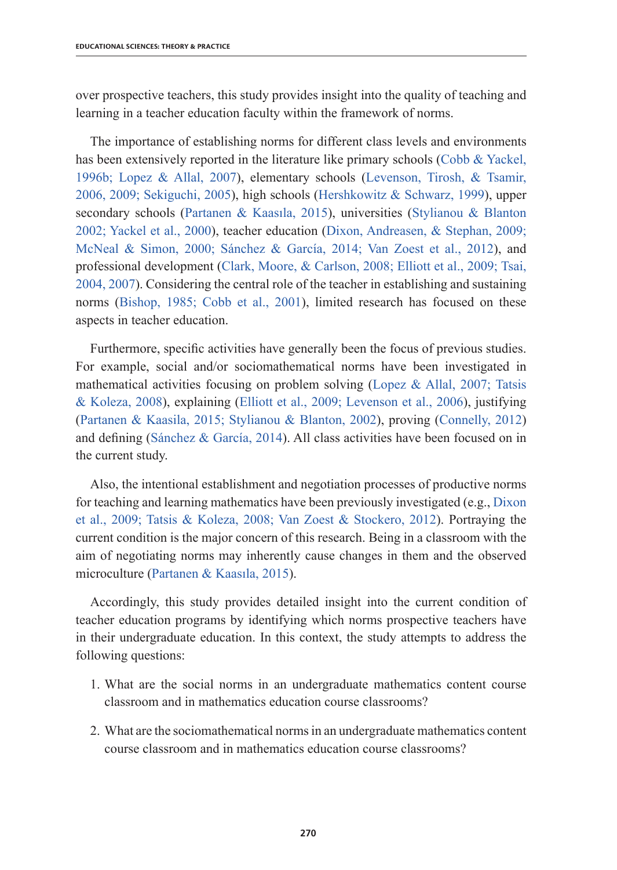over prospective teachers, this study provides insight into the quality of teaching and learning in a teacher education faculty within the framework of norms.

The importance of establishing norms for different class levels and environments has been extensively reported in the literature like primary schools (Cobb & Yackel, 1996b; Lopez & Allal, 2007), elementary schools (Levenson, Tirosh, & Tsamir, 2006, 2009; Sekiguchi, 2005), high schools (Hershkowitz & Schwarz, 1999), upper secondary schools (Partanen & Kaasıla, 2015), universities (Stylianou & Blanton 2002; Yackel et al., 2000), teacher education (Dixon, Andreasen, & Stephan, 2009; McNeal & Simon, 2000; Sánchez & García, 2014; Van Zoest et al., 2012), and professional development (Clark, Moore, & Carlson, 2008; Elliott et al., 2009; Tsai, 2004, 2007). Considering the central role of the teacher in establishing and sustaining norms (Bishop, 1985; Cobb et al., 2001), limited research has focused on these aspects in teacher education.

Furthermore, specific activities have generally been the focus of previous studies. For example, social and/or sociomathematical norms have been investigated in mathematical activities focusing on problem solving (Lopez & Allal, 2007; Tatsis & Koleza, 2008), explaining (Elliott et al., 2009; Levenson et al., 2006), justifying (Partanen & Kaasila, 2015; Stylianou & Blanton, 2002), proving (Connelly, 2012) and defining (Sánchez & García, 2014). All class activities have been focused on in the current study.

Also, the intentional establishment and negotiation processes of productive norms for teaching and learning mathematics have been previously investigated (e.g., Dixon et al., 2009; Tatsis & Koleza, 2008; Van Zoest & Stockero, 2012). Portraying the current condition is the major concern of this research. Being in a classroom with the aim of negotiating norms may inherently cause changes in them and the observed microculture (Partanen & Kaasıla, 2015).

Accordingly, this study provides detailed insight into the current condition of teacher education programs by identifying which norms prospective teachers have in their undergraduate education. In this context, the study attempts to address the following questions:

- 1. What are the social norms in an undergraduate mathematics content course classroom and in mathematics education course classrooms?
- 2. What are the sociomathematical norms in an undergraduate mathematics content course classroom and in mathematics education course classrooms?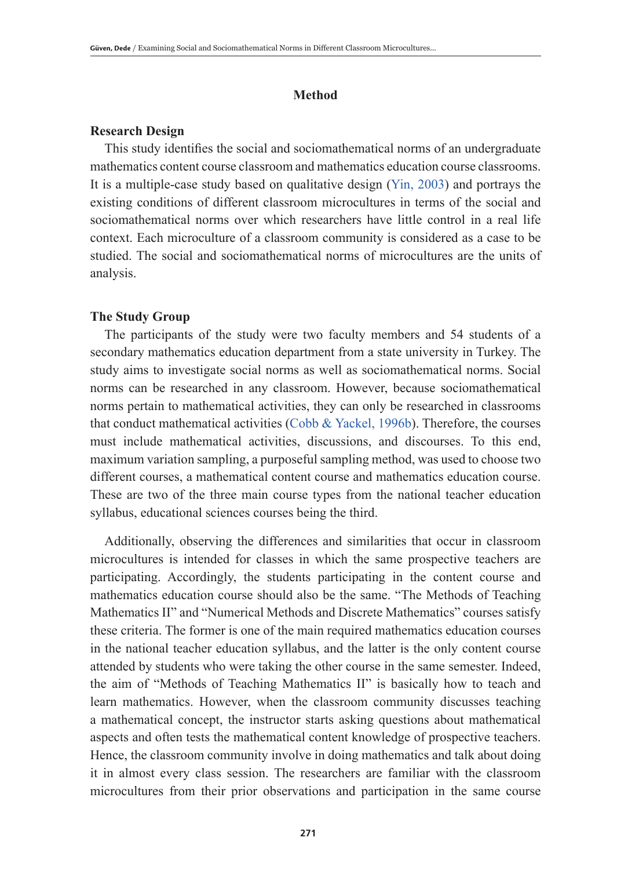## **Method**

### **Research Design**

This study identifies the social and sociomathematical norms of an undergraduate mathematics content course classroom and mathematics education course classrooms. It is a multiple-case study based on qualitative design (Yin, 2003) and portrays the existing conditions of different classroom microcultures in terms of the social and sociomathematical norms over which researchers have little control in a real life context. Each microculture of a classroom community is considered as a case to be studied. The social and sociomathematical norms of microcultures are the units of analysis.

#### **The Study Group**

The participants of the study were two faculty members and 54 students of a secondary mathematics education department from a state university in Turkey. The study aims to investigate social norms as well as sociomathematical norms. Social norms can be researched in any classroom. However, because sociomathematical norms pertain to mathematical activities, they can only be researched in classrooms that conduct mathematical activities (Cobb & Yackel, 1996b). Therefore, the courses must include mathematical activities, discussions, and discourses. To this end, maximum variation sampling, a purposeful sampling method, was used to choose two different courses, a mathematical content course and mathematics education course. These are two of the three main course types from the national teacher education syllabus, educational sciences courses being the third.

Additionally, observing the differences and similarities that occur in classroom microcultures is intended for classes in which the same prospective teachers are participating. Accordingly, the students participating in the content course and mathematics education course should also be the same. "The Methods of Teaching Mathematics II" and "Numerical Methods and Discrete Mathematics" courses satisfy these criteria. The former is one of the main required mathematics education courses in the national teacher education syllabus, and the latter is the only content course attended by students who were taking the other course in the same semester. Indeed, the aim of "Methods of Teaching Mathematics II" is basically how to teach and learn mathematics. However, when the classroom community discusses teaching a mathematical concept, the instructor starts asking questions about mathematical aspects and often tests the mathematical content knowledge of prospective teachers. Hence, the classroom community involve in doing mathematics and talk about doing it in almost every class session. The researchers are familiar with the classroom microcultures from their prior observations and participation in the same course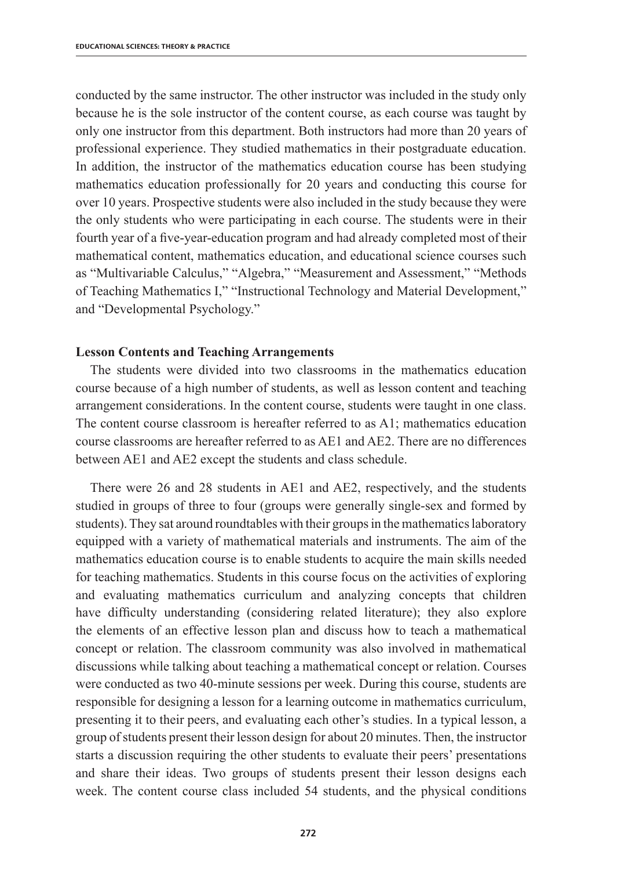conducted by the same instructor. The other instructor was included in the study only because he is the sole instructor of the content course, as each course was taught by only one instructor from this department. Both instructors had more than 20 years of professional experience. They studied mathematics in their postgraduate education. In addition, the instructor of the mathematics education course has been studying mathematics education professionally for 20 years and conducting this course for over 10 years. Prospective students were also included in the study because they were the only students who were participating in each course. The students were in their fourth year of a five-year-education program and had already completed most of their mathematical content, mathematics education, and educational science courses such as "Multivariable Calculus," "Algebra," "Measurement and Assessment," "Methods of Teaching Mathematics I," "Instructional Technology and Material Development," and "Developmental Psychology."

#### **Lesson Contents and Teaching Arrangements**

The students were divided into two classrooms in the mathematics education course because of a high number of students, as well as lesson content and teaching arrangement considerations. In the content course, students were taught in one class. The content course classroom is hereafter referred to as A1; mathematics education course classrooms are hereafter referred to as AE1 and AE2. There are no differences between AE1 and AE2 except the students and class schedule.

There were 26 and 28 students in AE1 and AE2, respectively, and the students studied in groups of three to four (groups were generally single-sex and formed by students). They sat around roundtables with their groups in the mathematics laboratory equipped with a variety of mathematical materials and instruments. The aim of the mathematics education course is to enable students to acquire the main skills needed for teaching mathematics. Students in this course focus on the activities of exploring and evaluating mathematics curriculum and analyzing concepts that children have difficulty understanding (considering related literature); they also explore the elements of an effective lesson plan and discuss how to teach a mathematical concept or relation. The classroom community was also involved in mathematical discussions while talking about teaching a mathematical concept or relation. Courses were conducted as two 40-minute sessions per week. During this course, students are responsible for designing a lesson for a learning outcome in mathematics curriculum, presenting it to their peers, and evaluating each other's studies. In a typical lesson, a group of students present their lesson design for about 20 minutes. Then, the instructor starts a discussion requiring the other students to evaluate their peers' presentations and share their ideas. Two groups of students present their lesson designs each week. The content course class included 54 students, and the physical conditions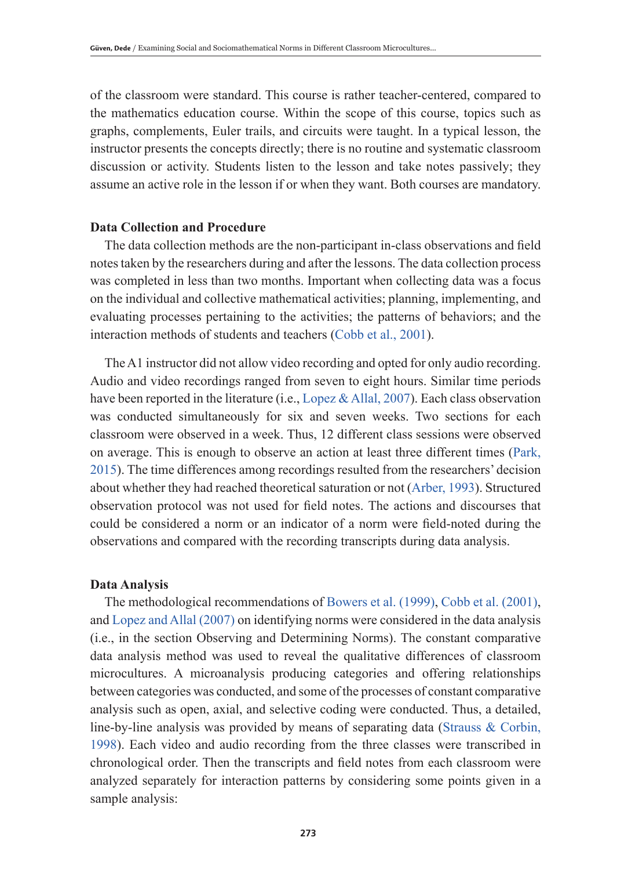of the classroom were standard. This course is rather teacher-centered, compared to the mathematics education course. Within the scope of this course, topics such as graphs, complements, Euler trails, and circuits were taught. In a typical lesson, the instructor presents the concepts directly; there is no routine and systematic classroom discussion or activity. Students listen to the lesson and take notes passively; they assume an active role in the lesson if or when they want. Both courses are mandatory.

#### **Data Collection and Procedure**

The data collection methods are the non-participant in-class observations and field notes taken by the researchers during and after the lessons. The data collection process was completed in less than two months. Important when collecting data was a focus on the individual and collective mathematical activities; planning, implementing, and evaluating processes pertaining to the activities; the patterns of behaviors; and the interaction methods of students and teachers (Cobb et al., 2001).

The A1 instructor did not allow video recording and opted for only audio recording. Audio and video recordings ranged from seven to eight hours. Similar time periods have been reported in the literature (i.e., Lopez & Allal, 2007). Each class observation was conducted simultaneously for six and seven weeks. Two sections for each classroom were observed in a week. Thus, 12 different class sessions were observed on average. This is enough to observe an action at least three different times (Park, 2015). The time differences among recordings resulted from the researchers' decision about whether they had reached theoretical saturation or not (Arber, 1993). Structured observation protocol was not used for field notes. The actions and discourses that could be considered a norm or an indicator of a norm were field-noted during the observations and compared with the recording transcripts during data analysis.

#### **Data Analysis**

The methodological recommendations of Bowers et al. (1999), Cobb et al. (2001), and Lopez and Allal (2007) on identifying norms were considered in the data analysis (i.e., in the section Observing and Determining Norms). The constant comparative data analysis method was used to reveal the qualitative differences of classroom microcultures. A microanalysis producing categories and offering relationships between categories was conducted, and some of the processes of constant comparative analysis such as open, axial, and selective coding were conducted. Thus, a detailed, line-by-line analysis was provided by means of separating data (Strauss & Corbin, 1998). Each video and audio recording from the three classes were transcribed in chronological order. Then the transcripts and field notes from each classroom were analyzed separately for interaction patterns by considering some points given in a sample analysis: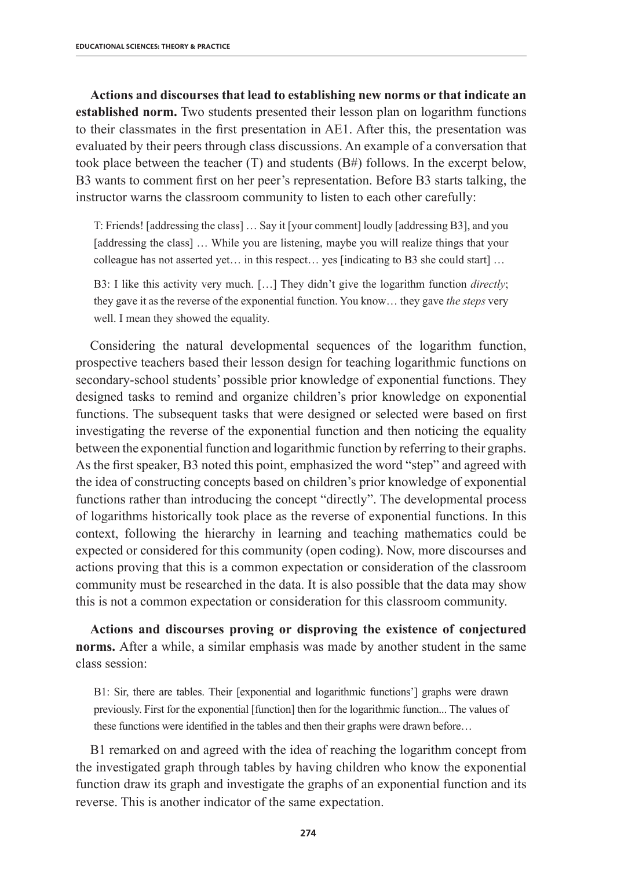**Actions and discourses that lead to establishing new norms or that indicate an established norm.** Two students presented their lesson plan on logarithm functions to their classmates in the first presentation in AE1. After this, the presentation was evaluated by their peers through class discussions. An example of a conversation that took place between the teacher (T) and students  $(B#)$  follows. In the excerpt below, B3 wants to comment first on her peer's representation. Before B3 starts talking, the instructor warns the classroom community to listen to each other carefully:

T: Friends! [addressing the class] … Say it [your comment] loudly [addressing B3], and you [addressing the class] … While you are listening, maybe you will realize things that your colleague has not asserted yet… in this respect… yes [indicating to B3 she could start] …

B3: I like this activity very much. […] They didn't give the logarithm function *directly*; they gave it as the reverse of the exponential function. You know… they gave *the steps* very well. I mean they showed the equality.

Considering the natural developmental sequences of the logarithm function, prospective teachers based their lesson design for teaching logarithmic functions on secondary-school students' possible prior knowledge of exponential functions. They designed tasks to remind and organize children's prior knowledge on exponential functions. The subsequent tasks that were designed or selected were based on first investigating the reverse of the exponential function and then noticing the equality between the exponential function and logarithmic function by referring to their graphs. As the first speaker, B3 noted this point, emphasized the word "step" and agreed with the idea of constructing concepts based on children's prior knowledge of exponential functions rather than introducing the concept "directly". The developmental process of logarithms historically took place as the reverse of exponential functions. In this context, following the hierarchy in learning and teaching mathematics could be expected or considered for this community (open coding). Now, more discourses and actions proving that this is a common expectation or consideration of the classroom community must be researched in the data. It is also possible that the data may show this is not a common expectation or consideration for this classroom community.

**Actions and discourses proving or disproving the existence of conjectured norms.** After a while, a similar emphasis was made by another student in the same class session:

B1: Sir, there are tables. Their [exponential and logarithmic functions'] graphs were drawn previously. First for the exponential [function] then for the logarithmic function... The values of these functions were identified in the tables and then their graphs were drawn before…

B1 remarked on and agreed with the idea of reaching the logarithm concept from the investigated graph through tables by having children who know the exponential function draw its graph and investigate the graphs of an exponential function and its reverse. This is another indicator of the same expectation.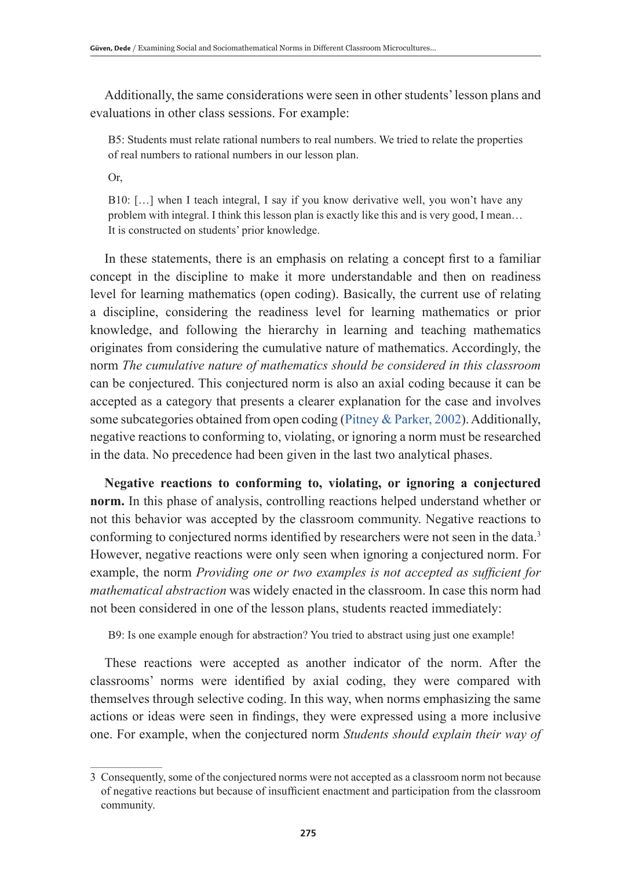Additionally, the same considerations were seen in other students' lesson plans and evaluations in other class sessions. For example:

B5: Students must relate rational numbers to real numbers. We tried to relate the properties of real numbers to rational numbers in our lesson plan.

Or,

B10: […] when I teach integral, I say if you know derivative well, you won't have any problem with integral. I think this lesson plan is exactly like this and is very good, I mean… It is constructed on students' prior knowledge.

In these statements, there is an emphasis on relating a concept first to a familiar concept in the discipline to make it more understandable and then on readiness level for learning mathematics (open coding). Basically, the current use of relating a discipline, considering the readiness level for learning mathematics or prior knowledge, and following the hierarchy in learning and teaching mathematics originates from considering the cumulative nature of mathematics. Accordingly, the norm *The cumulative nature of mathematics should be considered in this classroom* can be conjectured. This conjectured norm is also an axial coding because it can be accepted as a category that presents a clearer explanation for the case and involves some subcategories obtained from open coding (Pitney & Parker, 2002). Additionally, negative reactions to conforming to, violating, or ignoring a norm must be researched in the data. No precedence had been given in the last two analytical phases.

**Negative reactions to conforming to, violating, or ignoring a conjectured norm.** In this phase of analysis, controlling reactions helped understand whether or not this behavior was accepted by the classroom community. Negative reactions to conforming to conjectured norms identified by researchers were not seen in the data.<sup>3</sup> However, negative reactions were only seen when ignoring a conjectured norm. For example, the norm *Providing one or two examples is not accepted as sufficient for mathematical abstraction* was widely enacted in the classroom. In case this norm had not been considered in one of the lesson plans, students reacted immediately:

B9: Is one example enough for abstraction? You tried to abstract using just one example!

These reactions were accepted as another indicator of the norm. After the classrooms' norms were identified by axial coding, they were compared with themselves through selective coding. In this way, when norms emphasizing the same actions or ideas were seen in findings, they were expressed using a more inclusive one. For example, when the conjectured norm *Students should explain their way of* 

<sup>3</sup> Consequently, some of the conjectured norms were not accepted as a classroom norm not because of negative reactions but because of insufficient enactment and participation from the classroom community.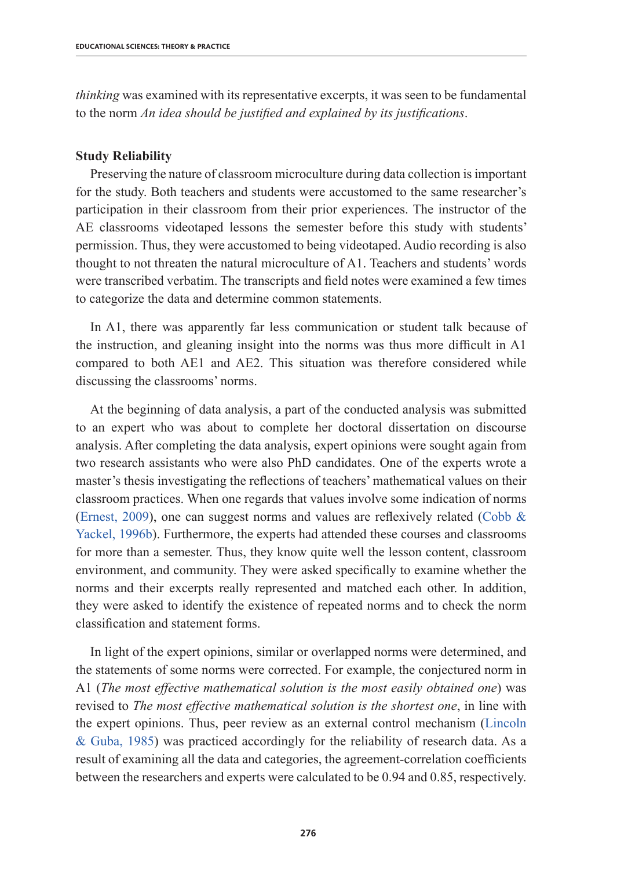*thinking* was examined with its representative excerpts, it was seen to be fundamental to the norm *An idea should be justified and explained by its justifications*.

## **Study Reliability**

Preserving the nature of classroom microculture during data collection is important for the study. Both teachers and students were accustomed to the same researcher's participation in their classroom from their prior experiences. The instructor of the AE classrooms videotaped lessons the semester before this study with students' permission. Thus, they were accustomed to being videotaped. Audio recording is also thought to not threaten the natural microculture of A1. Teachers and students' words were transcribed verbatim. The transcripts and field notes were examined a few times to categorize the data and determine common statements.

In A1, there was apparently far less communication or student talk because of the instruction, and gleaning insight into the norms was thus more difficult in A1 compared to both AE1 and AE2. This situation was therefore considered while discussing the classrooms' norms.

At the beginning of data analysis, a part of the conducted analysis was submitted to an expert who was about to complete her doctoral dissertation on discourse analysis. After completing the data analysis, expert opinions were sought again from two research assistants who were also PhD candidates. One of the experts wrote a master's thesis investigating the reflections of teachers' mathematical values on their classroom practices. When one regards that values involve some indication of norms (Ernest, 2009), one can suggest norms and values are reflexively related (Cobb  $\&$ Yackel, 1996b). Furthermore, the experts had attended these courses and classrooms for more than a semester. Thus, they know quite well the lesson content, classroom environment, and community. They were asked specifically to examine whether the norms and their excerpts really represented and matched each other. In addition, they were asked to identify the existence of repeated norms and to check the norm classification and statement forms.

In light of the expert opinions, similar or overlapped norms were determined, and the statements of some norms were corrected. For example, the conjectured norm in A1 (*The most effective mathematical solution is the most easily obtained one*) was revised to *The most effective mathematical solution is the shortest one*, in line with the expert opinions. Thus, peer review as an external control mechanism (Lincoln & Guba, 1985) was practiced accordingly for the reliability of research data. As a result of examining all the data and categories, the agreement-correlation coefficients between the researchers and experts were calculated to be 0.94 and 0.85, respectively.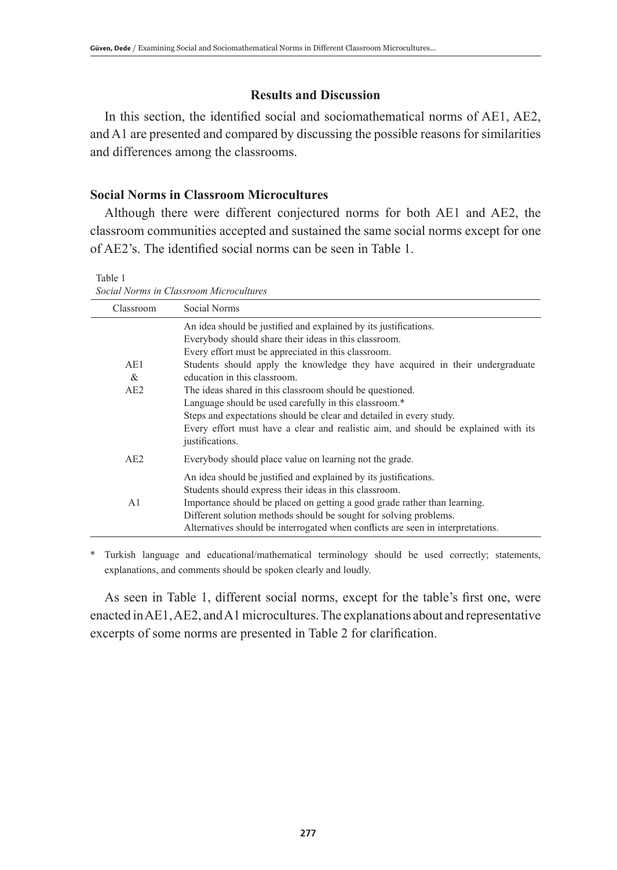## **Results and Discussion**

In this section, the identified social and sociomathematical norms of AE1, AE2, and A1 are presented and compared by discussing the possible reasons for similarities and differences among the classrooms.

## **Social Norms in Classroom Microcultures**

Although there were different conjectured norms for both AE1 and AE2, the classroom communities accepted and sustained the same social norms except for one of AE2's. The identified social norms can be seen in Table 1.

Table 1 *Social Norms in Classroom Microcultures*

| Classroom       | Social Norms                                                                                                                                                                                                                                                                                                                                                                                                                                                                                                                                                                                           |
|-----------------|--------------------------------------------------------------------------------------------------------------------------------------------------------------------------------------------------------------------------------------------------------------------------------------------------------------------------------------------------------------------------------------------------------------------------------------------------------------------------------------------------------------------------------------------------------------------------------------------------------|
| AE1<br>&<br>AE2 | An idea should be justified and explained by its justifications.<br>Everybody should share their ideas in this classroom.<br>Every effort must be appreciated in this classroom.<br>Students should apply the knowledge they have acquired in their undergraduate<br>education in this classroom.<br>The ideas shared in this classroom should be questioned.<br>Language should be used carefully in this classroom.*<br>Steps and expectations should be clear and detailed in every study.<br>Every effort must have a clear and realistic aim, and should be explained with its<br>justifications. |
| AE2             | Everybody should place value on learning not the grade.                                                                                                                                                                                                                                                                                                                                                                                                                                                                                                                                                |
| A <sub>1</sub>  | An idea should be justified and explained by its justifications.<br>Students should express their ideas in this classroom.<br>Importance should be placed on getting a good grade rather than learning.<br>Different solution methods should be sought for solving problems.<br>Alternatives should be interrogated when conflicts are seen in interpretations.                                                                                                                                                                                                                                        |

\* Turkish language and educational/mathematical terminology should be used correctly; statements, explanations, and comments should be spoken clearly and loudly.

As seen in Table 1, different social norms, except for the table's first one, were enacted in AE1, AE2, and A1 microcultures. The explanations about and representative excerpts of some norms are presented in Table 2 for clarification.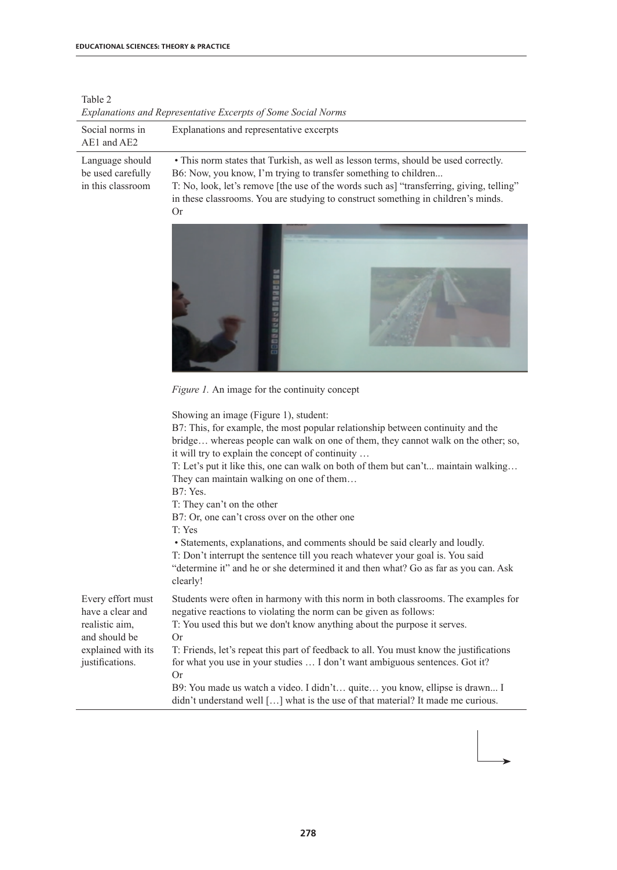| Explanations and Representative Excerpts of Some Social Norms                                                     |                                                                                                                                                                                                                                                                                                                                                                                                                                                                                                                                                                                                                                                                                                                                                                                      |  |  |  |
|-------------------------------------------------------------------------------------------------------------------|--------------------------------------------------------------------------------------------------------------------------------------------------------------------------------------------------------------------------------------------------------------------------------------------------------------------------------------------------------------------------------------------------------------------------------------------------------------------------------------------------------------------------------------------------------------------------------------------------------------------------------------------------------------------------------------------------------------------------------------------------------------------------------------|--|--|--|
| Social norms in<br>AE1 and AE2                                                                                    | Explanations and representative excerpts                                                                                                                                                                                                                                                                                                                                                                                                                                                                                                                                                                                                                                                                                                                                             |  |  |  |
| Language should<br>be used carefully<br>in this classroom                                                         | • This norm states that Turkish, as well as lesson terms, should be used correctly.<br>B6: Now, you know, I'm trying to transfer something to children<br>T: No, look, let's remove [the use of the words such as] "transferring, giving, telling"<br>in these classrooms. You are studying to construct something in children's minds.<br>Or                                                                                                                                                                                                                                                                                                                                                                                                                                        |  |  |  |
|                                                                                                                   |                                                                                                                                                                                                                                                                                                                                                                                                                                                                                                                                                                                                                                                                                                                                                                                      |  |  |  |
|                                                                                                                   | Figure 1. An image for the continuity concept                                                                                                                                                                                                                                                                                                                                                                                                                                                                                                                                                                                                                                                                                                                                        |  |  |  |
|                                                                                                                   | Showing an image (Figure 1), student:<br>B7: This, for example, the most popular relationship between continuity and the<br>bridge whereas people can walk on one of them, they cannot walk on the other; so,<br>it will try to explain the concept of continuity<br>T: Let's put it like this, one can walk on both of them but can't maintain walking<br>They can maintain walking on one of them<br><b>B7</b> : Yes.<br>T: They can't on the other<br>B7: Or, one can't cross over on the other one<br>T: Yes<br>• Statements, explanations, and comments should be said clearly and loudly.<br>T: Don't interrupt the sentence till you reach whatever your goal is. You said<br>"determine it" and he or she determined it and then what? Go as far as you can. Ask<br>clearly! |  |  |  |
| Every effort must<br>have a clear and<br>realistic aim.<br>and should be<br>explained with its<br>justifications. | Students were often in harmony with this norm in both classrooms. The examples for<br>negative reactions to violating the norm can be given as follows:<br>T: You used this but we don't know anything about the purpose it serves.<br>Or<br>T: Friends, let's repeat this part of feedback to all. You must know the justifications<br>for what you use in your studies  I don't want ambiguous sentences. Got it?<br><b>Or</b><br>B9: You made us watch a video. I didn't quite you know, ellipse is drawn I<br>didn't understand well [] what is the use of that material? It made me curious.                                                                                                                                                                                    |  |  |  |

Table 2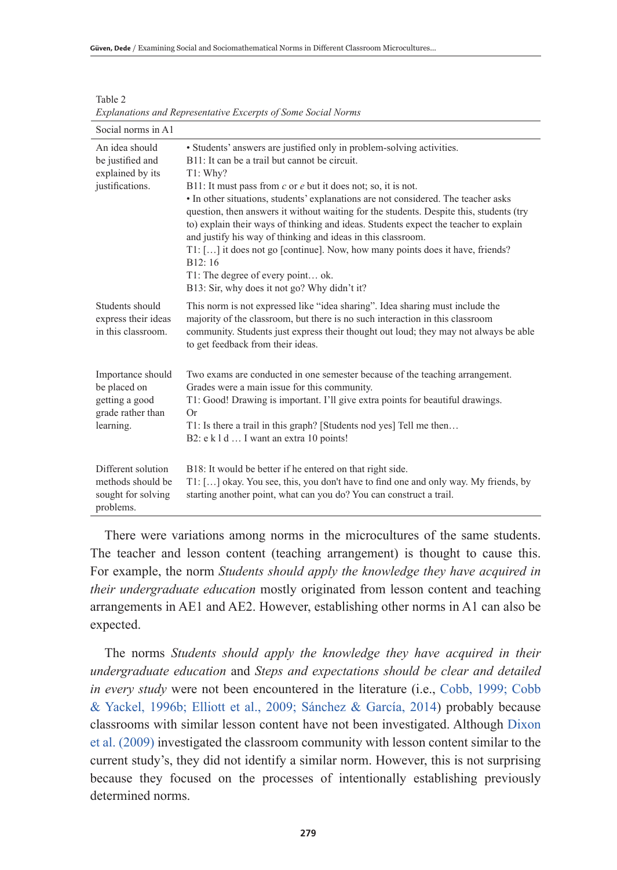| Social norms in A1                                                                    |                                                                                                                                                                                                                                                                                                                                                                                                                                                                                                                                                                                                                                                                                                                                  |
|---------------------------------------------------------------------------------------|----------------------------------------------------------------------------------------------------------------------------------------------------------------------------------------------------------------------------------------------------------------------------------------------------------------------------------------------------------------------------------------------------------------------------------------------------------------------------------------------------------------------------------------------------------------------------------------------------------------------------------------------------------------------------------------------------------------------------------|
| An idea should<br>be justified and<br>explained by its<br>justifications.             | • Students' answers are justified only in problem-solving activities.<br>B11: It can be a trail but cannot be circuit.<br>T1: Whv?<br>B11: It must pass from $c$ or $e$ but it does not; so, it is not.<br>• In other situations, students' explanations are not considered. The teacher asks<br>question, then answers it without waiting for the students. Despite this, students (try<br>to) explain their ways of thinking and ideas. Students expect the teacher to explain<br>and justify his way of thinking and ideas in this classroom.<br>T1: [] it does not go [continue]. Now, how many points does it have, friends?<br>B12:16<br>T1: The degree of every point ok.<br>B13: Sir, why does it not go? Why didn't it? |
| Students should<br>express their ideas<br>in this classroom.                          | This norm is not expressed like "idea sharing". Idea sharing must include the<br>majority of the classroom, but there is no such interaction in this classroom<br>community. Students just express their thought out loud; they may not always be able<br>to get feedback from their ideas.                                                                                                                                                                                                                                                                                                                                                                                                                                      |
| Importance should<br>be placed on<br>getting a good<br>grade rather than<br>learning. | Two exams are conducted in one semester because of the teaching arrangement.<br>Grades were a main issue for this community.<br>T1: Good! Drawing is important. I'll give extra points for beautiful drawings.<br>Or<br>T1: Is there a trail in this graph? [Students nod yes] Tell me then<br>B2: e k 1 d  I want an extra 10 points!                                                                                                                                                                                                                                                                                                                                                                                           |
| Different solution<br>methods should be<br>sought for solving<br>problems.            | B18: It would be better if he entered on that right side.<br>T1: [] okay. You see, this, you don't have to find one and only way. My friends, by<br>starting another point, what can you do? You can construct a trail.                                                                                                                                                                                                                                                                                                                                                                                                                                                                                                          |

Table 2 *Explanations and Representative Excerpts of Some Social Norms*

There were variations among norms in the microcultures of the same students. The teacher and lesson content (teaching arrangement) is thought to cause this. For example, the norm *Students should apply the knowledge they have acquired in their undergraduate education* mostly originated from lesson content and teaching arrangements in AE1 and AE2. However, establishing other norms in A1 can also be expected.

The norms *Students should apply the knowledge they have acquired in their undergraduate education* and *Steps and expectations should be clear and detailed in every study* were not been encountered in the literature (i.e., Cobb, 1999; Cobb & Yackel, 1996b; Elliott et al., 2009; Sánchez & García, 2014) probably because classrooms with similar lesson content have not been investigated. Although Dixon et al. (2009) investigated the classroom community with lesson content similar to the current study's, they did not identify a similar norm. However, this is not surprising because they focused on the processes of intentionally establishing previously determined norms.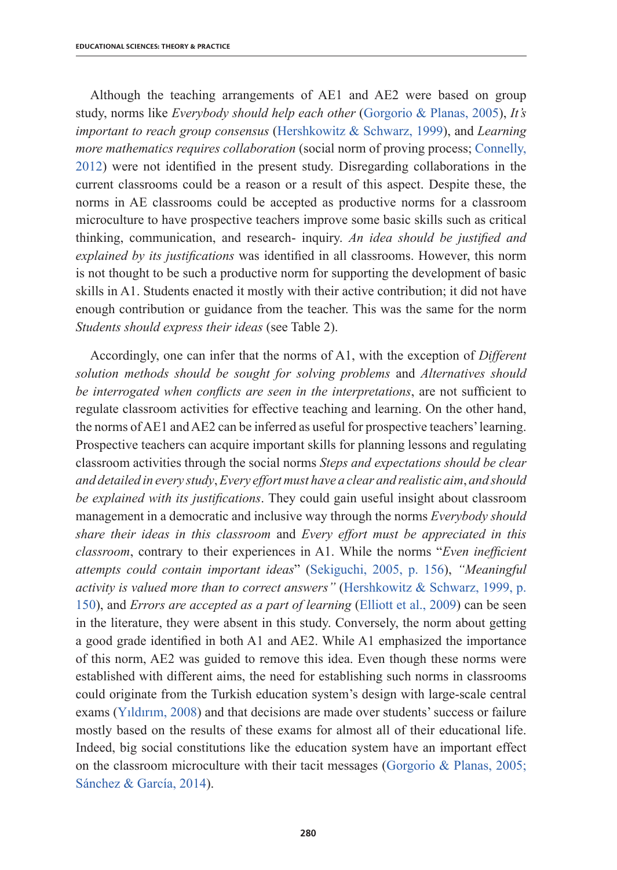Although the teaching arrangements of AE1 and AE2 were based on group study, norms like *Everybody should help each other* (Gorgorio & Planas, 2005), *It's important to reach group consensus* (Hershkowitz & Schwarz, 1999), and *Learning more mathematics requires collaboration* (social norm of proving process; Connelly, 2012) were not identified in the present study. Disregarding collaborations in the current classrooms could be a reason or a result of this aspect. Despite these, the norms in AE classrooms could be accepted as productive norms for a classroom microculture to have prospective teachers improve some basic skills such as critical thinking, communication, and research- inquiry. *An idea should be justified and explained by its justifications* was identified in all classrooms. However, this norm is not thought to be such a productive norm for supporting the development of basic skills in A1. Students enacted it mostly with their active contribution; it did not have enough contribution or guidance from the teacher. This was the same for the norm *Students should express their ideas* (see Table 2).

Accordingly, one can infer that the norms of A1, with the exception of *Different solution methods should be sought for solving problems* and *Alternatives should be interrogated when conflicts are seen in the interpretations*, are not sufficient to regulate classroom activities for effective teaching and learning. On the other hand, the norms of AE1 and AE2 can be inferred as useful for prospective teachers' learning. Prospective teachers can acquire important skills for planning lessons and regulating classroom activities through the social norms *Steps and expectations should be clear and detailed in every study*, *Every effort must have a clear and realistic aim*, *and should be explained with its justifications*. They could gain useful insight about classroom management in a democratic and inclusive way through the norms *Everybody should share their ideas in this classroom* and *Every effort must be appreciated in this classroom*, contrary to their experiences in A1. While the norms "*Even inefficient attempts could contain important ideas*" (Sekiguchi, 2005, p. 156), *"Meaningful activity is valued more than to correct answers"* (Hershkowitz & Schwarz, 1999, p. 150), and *Errors are accepted as a part of learning* (Elliott et al., 2009) can be seen in the literature, they were absent in this study. Conversely, the norm about getting a good grade identified in both A1 and AE2. While A1 emphasized the importance of this norm, AE2 was guided to remove this idea. Even though these norms were established with different aims, the need for establishing such norms in classrooms could originate from the Turkish education system's design with large-scale central exams (Yıldırım, 2008) and that decisions are made over students' success or failure mostly based on the results of these exams for almost all of their educational life. Indeed, big social constitutions like the education system have an important effect on the classroom microculture with their tacit messages (Gorgorio & Planas, 2005; Sánchez & García, 2014).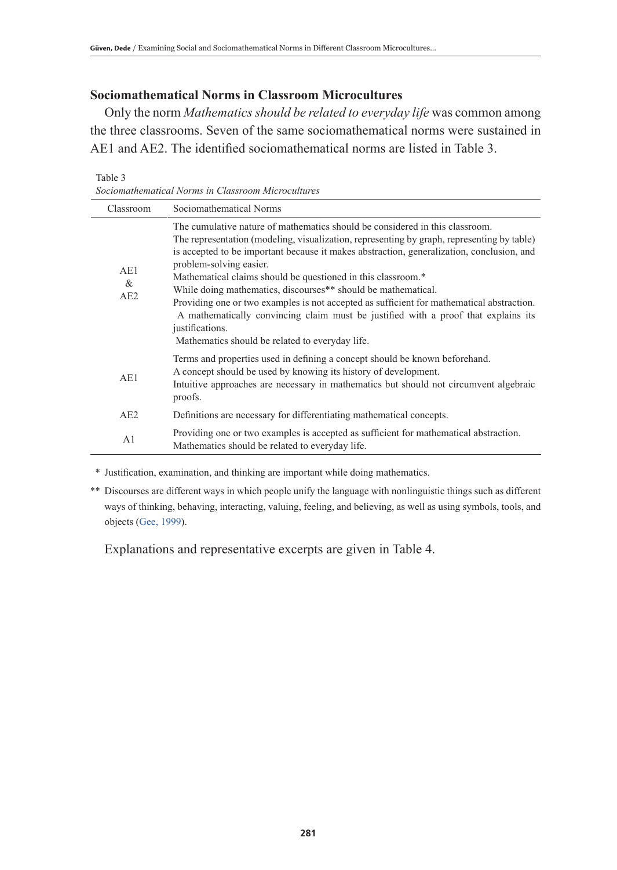## **Sociomathematical Norms in Classroom Microcultures**

Only the norm *Mathematics should be related to everyday life* was common among the three classrooms. Seven of the same sociomathematical norms were sustained in AE1 and AE2. The identified sociomathematical norms are listed in Table 3.

Table 3 *Sociomathematical Norms in Classroom Microcultures*

| Classroom       | Sociomathematical Norms                                                                                                                                                                                                                                                                                                                                                                                                                                                                                                                                                                                                                                                                      |  |  |
|-----------------|----------------------------------------------------------------------------------------------------------------------------------------------------------------------------------------------------------------------------------------------------------------------------------------------------------------------------------------------------------------------------------------------------------------------------------------------------------------------------------------------------------------------------------------------------------------------------------------------------------------------------------------------------------------------------------------------|--|--|
| AE1<br>&<br>AE2 | The cumulative nature of mathematics should be considered in this classroom.<br>The representation (modeling, visualization, representing by graph, representing by table)<br>is accepted to be important because it makes abstraction, generalization, conclusion, and<br>problem-solving easier.<br>Mathematical claims should be questioned in this classroom.*<br>While doing mathematics, discourses** should be mathematical.<br>Providing one or two examples is not accepted as sufficient for mathematical abstraction.<br>A mathematically convincing claim must be justified with a proof that explains its<br>justifications.<br>Mathematics should be related to everyday life. |  |  |
| AE1             | Terms and properties used in defining a concept should be known beforehand.<br>A concept should be used by knowing its history of development.<br>Intuitive approaches are necessary in mathematics but should not circumvent algebraic<br>proofs.                                                                                                                                                                                                                                                                                                                                                                                                                                           |  |  |
| AE2             | Definitions are necessary for differentiating mathematical concepts.                                                                                                                                                                                                                                                                                                                                                                                                                                                                                                                                                                                                                         |  |  |
| A <sub>1</sub>  | Providing one or two examples is accepted as sufficient for mathematical abstraction.<br>Mathematics should be related to everyday life.                                                                                                                                                                                                                                                                                                                                                                                                                                                                                                                                                     |  |  |

\* Justification, examination, and thinking are important while doing mathematics.

\*\* Discourses are different ways in which people unify the language with nonlinguistic things such as different ways of thinking, behaving, interacting, valuing, feeling, and believing, as well as using symbols, tools, and objects (Gee, 1999).

Explanations and representative excerpts are given in Table 4.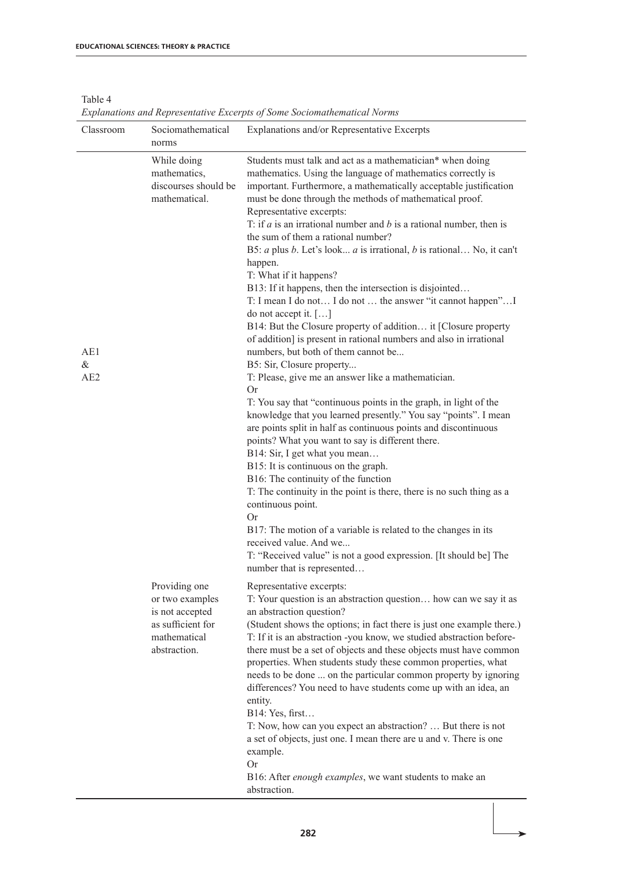| Table 4                                                                  |  |
|--------------------------------------------------------------------------|--|
| Explanations and Representative Excerpts of Some Sociomathematical Norms |  |

| Classroom       | Sociomathematical<br>norms                                                                               | Explanations and/or Representative Excerpts                                                                                                                                                                                                                                                                                                                                                                                                                                                                                                                                                                                                                                                                                                                                                                                                                                                                                                                                                                                                                                                                                                                                                                                                                                                                                                                                                                                                                                                                                                                                                                                 |
|-----------------|----------------------------------------------------------------------------------------------------------|-----------------------------------------------------------------------------------------------------------------------------------------------------------------------------------------------------------------------------------------------------------------------------------------------------------------------------------------------------------------------------------------------------------------------------------------------------------------------------------------------------------------------------------------------------------------------------------------------------------------------------------------------------------------------------------------------------------------------------------------------------------------------------------------------------------------------------------------------------------------------------------------------------------------------------------------------------------------------------------------------------------------------------------------------------------------------------------------------------------------------------------------------------------------------------------------------------------------------------------------------------------------------------------------------------------------------------------------------------------------------------------------------------------------------------------------------------------------------------------------------------------------------------------------------------------------------------------------------------------------------------|
| AE1<br>&<br>AE2 | While doing<br>mathematics,<br>discourses should be<br>mathematical.                                     | Students must talk and act as a mathematician* when doing<br>mathematics. Using the language of mathematics correctly is<br>important. Furthermore, a mathematically acceptable justification<br>must be done through the methods of mathematical proof.<br>Representative excerpts:<br>T: if $a$ is an irrational number and $b$ is a rational number, then is<br>the sum of them a rational number?<br>B5: $a$ plus $b$ . Let's look $a$ is irrational, $b$ is rational No, it can't<br>happen.<br>T: What if it happens?<br>B13: If it happens, then the intersection is disjointed<br>T: I mean I do not I do not  the answer "it cannot happen" I<br>do not accept it. $[\dots]$<br>B14: But the Closure property of addition it [Closure property<br>of addition] is present in rational numbers and also in irrational<br>numbers, but both of them cannot be<br>B5: Sir, Closure property<br>T: Please, give me an answer like a mathematician.<br><b>Or</b><br>T: You say that "continuous points in the graph, in light of the<br>knowledge that you learned presently." You say "points". I mean<br>are points split in half as continuous points and discontinuous<br>points? What you want to say is different there.<br>B14: Sir, I get what you mean<br>B15: It is continuous on the graph.<br>B16: The continuity of the function<br>T: The continuity in the point is there, there is no such thing as a<br>continuous point.<br><b>Or</b><br>B17: The motion of a variable is related to the changes in its<br>received value. And we<br>T: "Received value" is not a good expression. [It should be] The |
|                 | Providing one<br>or two examples<br>is not accepted<br>as sufficient for<br>mathematical<br>abstraction. | number that is represented<br>Representative excerpts:<br>T. Your question is an abstraction question how can we say it as<br>an abstraction question?<br>(Student shows the options; in fact there is just one example there.)<br>T. If it is an abstraction -you know, we studied abstraction before-<br>there must be a set of objects and these objects must have common<br>properties. When students study these common properties, what<br>needs to be done  on the particular common property by ignoring<br>differences? You need to have students come up with an idea, an<br>entity.<br>B14: Yes, first<br>T: Now, how can you expect an abstraction?  But there is not<br>a set of objects, just one. I mean there are u and v. There is one<br>example.<br>0r<br>B16: After enough examples, we want students to make an<br>abstraction.                                                                                                                                                                                                                                                                                                                                                                                                                                                                                                                                                                                                                                                                                                                                                                        |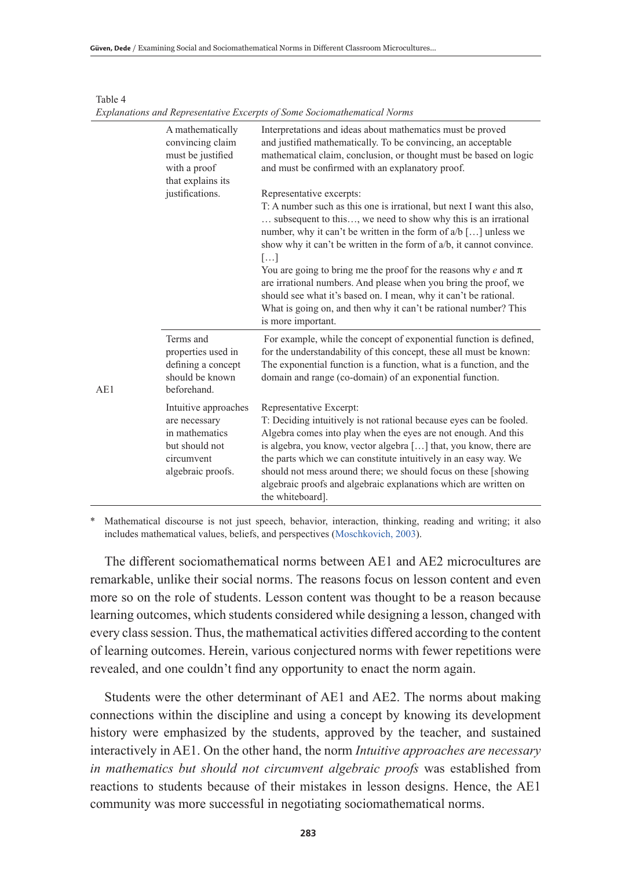|     | A mathematically<br>convincing claim<br>must be justified<br>with a proof<br>that explains its               | Interpretations and ideas about mathematics must be proved<br>and justified mathematically. To be convincing, an acceptable<br>mathematical claim, conclusion, or thought must be based on logic<br>and must be confirmed with an explanatory proof.                                                                                                                                                                                                                                                                                                                                                                              |
|-----|--------------------------------------------------------------------------------------------------------------|-----------------------------------------------------------------------------------------------------------------------------------------------------------------------------------------------------------------------------------------------------------------------------------------------------------------------------------------------------------------------------------------------------------------------------------------------------------------------------------------------------------------------------------------------------------------------------------------------------------------------------------|
|     | justifications.                                                                                              | Representative excerpts:<br>T: A number such as this one is irrational, but next I want this also,<br>subsequent to this, we need to show why this is an irrational<br>number, why it can't be written in the form of $a/b$ [] unless we<br>show why it can't be written in the form of $a/b$ , it cannot convince.<br>[]<br>You are going to bring me the proof for the reasons why e and $\pi$<br>are irrational numbers. And please when you bring the proof, we<br>should see what it's based on. I mean, why it can't be rational.<br>What is going on, and then why it can't be rational number? This<br>is more important. |
| AE1 | Terms and<br>properties used in<br>defining a concept<br>should be known<br>beforehand.                      | For example, while the concept of exponential function is defined,<br>for the understandability of this concept, these all must be known:<br>The exponential function is a function, what is a function, and the<br>domain and range (co-domain) of an exponential function.                                                                                                                                                                                                                                                                                                                                                      |
|     | Intuitive approaches<br>are necessary<br>in mathematics<br>but should not<br>circumvent<br>algebraic proofs. | Representative Excerpt:<br>T: Deciding intuitively is not rational because eyes can be fooled.<br>Algebra comes into play when the eyes are not enough. And this<br>is algebra, you know, vector algebra [] that, you know, there are<br>the parts which we can constitute intuitively in an easy way. We<br>should not mess around there; we should focus on these [showing]<br>algebraic proofs and algebraic explanations which are written on<br>the whiteboard].                                                                                                                                                             |

*Explanations and Representative Excerpts of Some Sociomathematical Norms*

Table 4

Mathematical discourse is not just speech, behavior, interaction, thinking, reading and writing; it also includes mathematical values, beliefs, and perspectives (Moschkovich, 2003).

The different sociomathematical norms between AE1 and AE2 microcultures are remarkable, unlike their social norms. The reasons focus on lesson content and even more so on the role of students. Lesson content was thought to be a reason because learning outcomes, which students considered while designing a lesson, changed with every class session. Thus, the mathematical activities differed according to the content of learning outcomes. Herein, various conjectured norms with fewer repetitions were revealed, and one couldn't find any opportunity to enact the norm again.

Students were the other determinant of AE1 and AE2. The norms about making connections within the discipline and using a concept by knowing its development history were emphasized by the students, approved by the teacher, and sustained interactively in AE1. On the other hand, the norm *Intuitive approaches are necessary in mathematics but should not circumvent algebraic proofs* was established from reactions to students because of their mistakes in lesson designs. Hence, the AE1 community was more successful in negotiating sociomathematical norms.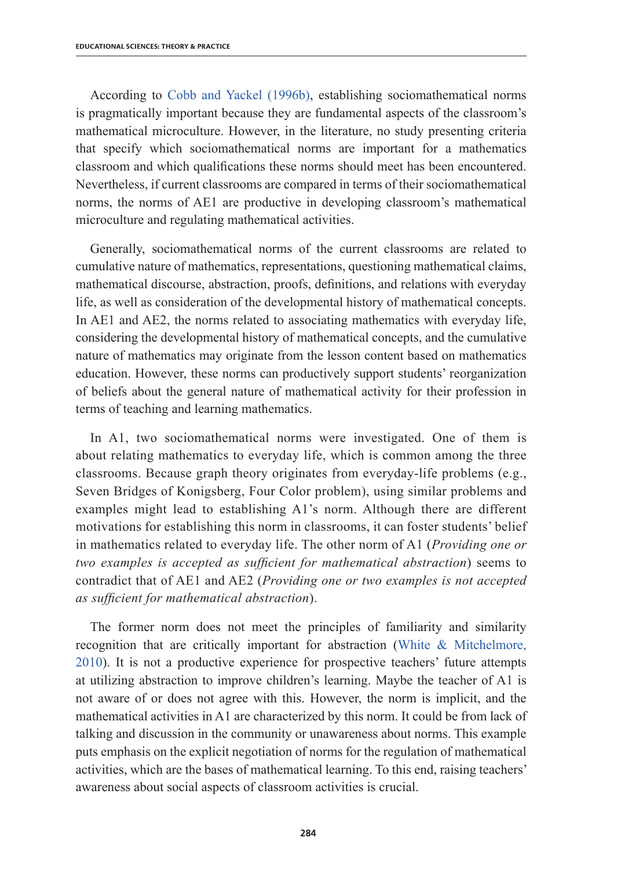According to Cobb and Yackel (1996b), establishing sociomathematical norms is pragmatically important because they are fundamental aspects of the classroom's mathematical microculture. However, in the literature, no study presenting criteria that specify which sociomathematical norms are important for a mathematics classroom and which qualifications these norms should meet has been encountered. Nevertheless, if current classrooms are compared in terms of their sociomathematical norms, the norms of AE1 are productive in developing classroom's mathematical microculture and regulating mathematical activities.

Generally, sociomathematical norms of the current classrooms are related to cumulative nature of mathematics, representations, questioning mathematical claims, mathematical discourse, abstraction, proofs, definitions, and relations with everyday life, as well as consideration of the developmental history of mathematical concepts. In AE1 and AE2, the norms related to associating mathematics with everyday life, considering the developmental history of mathematical concepts, and the cumulative nature of mathematics may originate from the lesson content based on mathematics education. However, these norms can productively support students' reorganization of beliefs about the general nature of mathematical activity for their profession in terms of teaching and learning mathematics.

In A1, two sociomathematical norms were investigated. One of them is about relating mathematics to everyday life, which is common among the three classrooms. Because graph theory originates from everyday-life problems (e.g., Seven Bridges of Konigsberg, Four Color problem), using similar problems and examples might lead to establishing A1's norm. Although there are different motivations for establishing this norm in classrooms, it can foster students' belief in mathematics related to everyday life. The other norm of A1 (*Providing one or two examples is accepted as sufficient for mathematical abstraction*) seems to contradict that of AE1 and AE2 (*Providing one or two examples is not accepted as sufficient for mathematical abstraction*).

The former norm does not meet the principles of familiarity and similarity recognition that are critically important for abstraction (White & Mitchelmore, 2010). It is not a productive experience for prospective teachers' future attempts at utilizing abstraction to improve children's learning. Maybe the teacher of A1 is not aware of or does not agree with this. However, the norm is implicit, and the mathematical activities in A1 are characterized by this norm. It could be from lack of talking and discussion in the community or unawareness about norms. This example puts emphasis on the explicit negotiation of norms for the regulation of mathematical activities, which are the bases of mathematical learning. To this end, raising teachers' awareness about social aspects of classroom activities is crucial.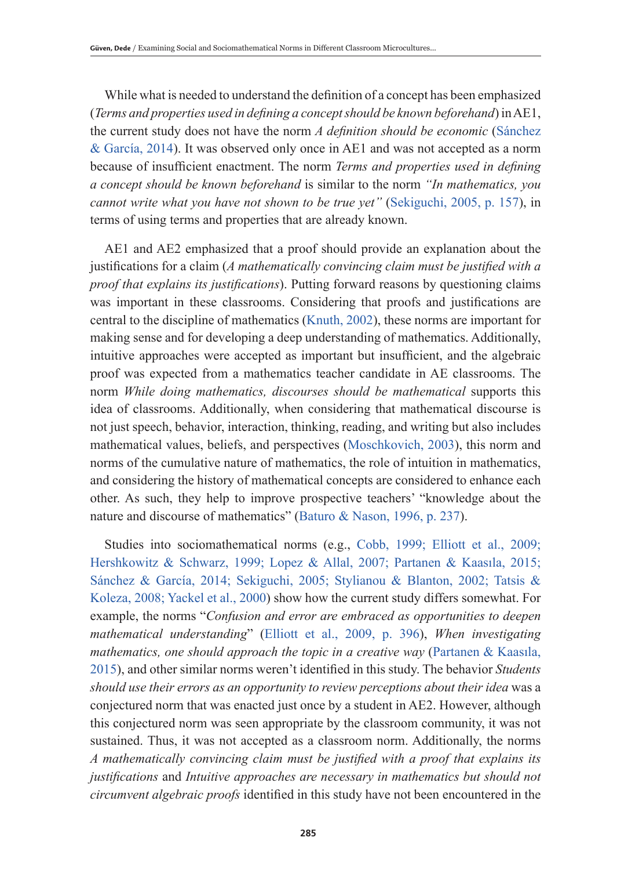While what is needed to understand the definition of a concept has been emphasized (*Terms and properties used in defining a concept should be known beforehand*) in AE1, the current study does not have the norm *A definition should be economic* (Sánchez & García, 2014). It was observed only once in AE1 and was not accepted as a norm because of insufficient enactment. The norm *Terms and properties used in defining a concept should be known beforehand* is similar to the norm *"In mathematics, you cannot write what you have not shown to be true yet"* (Sekiguchi, 2005, p. 157), in terms of using terms and properties that are already known.

AE1 and AE2 emphasized that a proof should provide an explanation about the justifications for a claim (*A mathematically convincing claim must be justified with a proof that explains its justifications*). Putting forward reasons by questioning claims was important in these classrooms. Considering that proofs and justifications are central to the discipline of mathematics (Knuth, 2002), these norms are important for making sense and for developing a deep understanding of mathematics. Additionally, intuitive approaches were accepted as important but insufficient, and the algebraic proof was expected from a mathematics teacher candidate in AE classrooms. The norm *While doing mathematics, discourses should be mathematical* supports this idea of classrooms. Additionally, when considering that mathematical discourse is not just speech, behavior, interaction, thinking, reading, and writing but also includes mathematical values, beliefs, and perspectives (Moschkovich, 2003), this norm and norms of the cumulative nature of mathematics, the role of intuition in mathematics, and considering the history of mathematical concepts are considered to enhance each other. As such, they help to improve prospective teachers' "knowledge about the nature and discourse of mathematics" (Baturo & Nason, 1996, p. 237).

Studies into sociomathematical norms (e.g., Cobb, 1999; Elliott et al., 2009; Hershkowitz & Schwarz, 1999; Lopez & Allal, 2007; Partanen & Kaasıla, 2015; Sánchez & García, 2014; Sekiguchi, 2005; Stylianou & Blanton, 2002; Tatsis & Koleza, 2008; Yackel et al., 2000) show how the current study differs somewhat. For example, the norms "*Confusion and error are embraced as opportunities to deepen mathematical understanding*" (Elliott et al., 2009, p. 396), *When investigating mathematics, one should approach the topic in a creative way (Partanen & Kaasila,* 2015), and other similar norms weren't identified in this study. The behavior *Students should use their errors as an opportunity to review perceptions about their idea* was a conjectured norm that was enacted just once by a student in AE2. However, although this conjectured norm was seen appropriate by the classroom community, it was not sustained. Thus, it was not accepted as a classroom norm. Additionally, the norms *A mathematically convincing claim must be justified with a proof that explains its justifications* and *Intuitive approaches are necessary in mathematics but should not circumvent algebraic proofs* identified in this study have not been encountered in the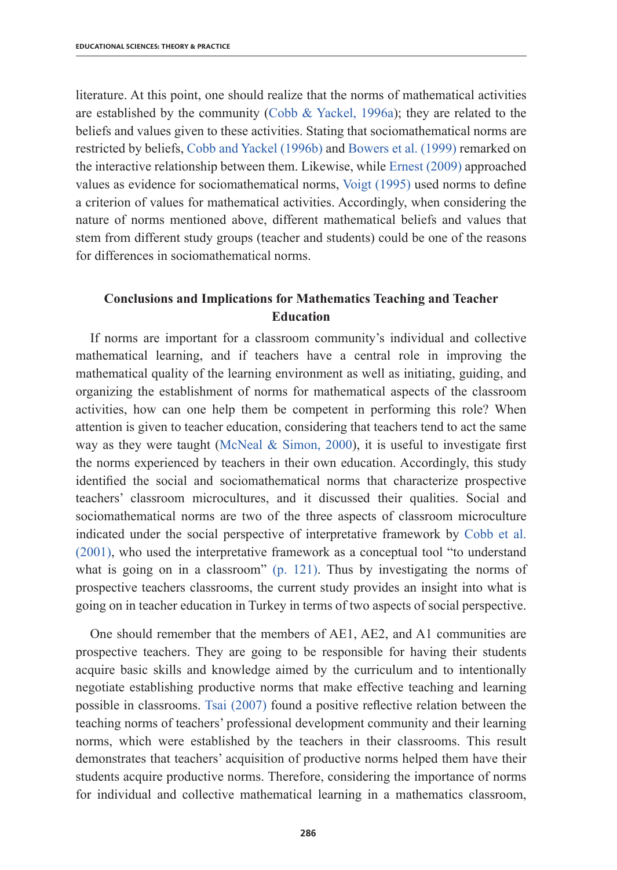literature. At this point, one should realize that the norms of mathematical activities are established by the community (Cobb & Yackel, 1996a); they are related to the beliefs and values given to these activities. Stating that sociomathematical norms are restricted by beliefs, Cobb and Yackel (1996b) and Bowers et al. (1999) remarked on the interactive relationship between them. Likewise, while Ernest (2009) approached values as evidence for sociomathematical norms, Voigt (1995) used norms to define a criterion of values for mathematical activities. Accordingly, when considering the nature of norms mentioned above, different mathematical beliefs and values that stem from different study groups (teacher and students) could be one of the reasons for differences in sociomathematical norms.

# **Conclusions and Implications for Mathematics Teaching and Teacher Education**

If norms are important for a classroom community's individual and collective mathematical learning, and if teachers have a central role in improving the mathematical quality of the learning environment as well as initiating, guiding, and organizing the establishment of norms for mathematical aspects of the classroom activities, how can one help them be competent in performing this role? When attention is given to teacher education, considering that teachers tend to act the same way as they were taught (McNeal & Simon, 2000), it is useful to investigate first the norms experienced by teachers in their own education. Accordingly, this study identified the social and sociomathematical norms that characterize prospective teachers' classroom microcultures, and it discussed their qualities. Social and sociomathematical norms are two of the three aspects of classroom microculture indicated under the social perspective of interpretative framework by Cobb et al. (2001), who used the interpretative framework as a conceptual tool "to understand what is going on in a classroom" (p. 121). Thus by investigating the norms of prospective teachers classrooms, the current study provides an insight into what is going on in teacher education in Turkey in terms of two aspects of social perspective.

One should remember that the members of AE1, AE2, and A1 communities are prospective teachers. They are going to be responsible for having their students acquire basic skills and knowledge aimed by the curriculum and to intentionally negotiate establishing productive norms that make effective teaching and learning possible in classrooms. Tsai (2007) found a positive reflective relation between the teaching norms of teachers' professional development community and their learning norms, which were established by the teachers in their classrooms. This result demonstrates that teachers' acquisition of productive norms helped them have their students acquire productive norms. Therefore, considering the importance of norms for individual and collective mathematical learning in a mathematics classroom,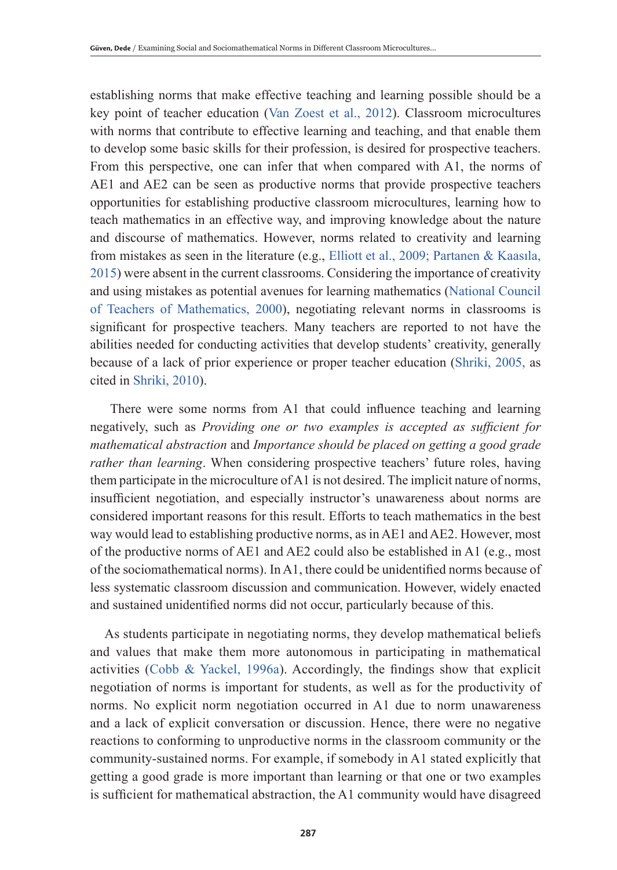establishing norms that make effective teaching and learning possible should be a key point of teacher education (Van Zoest et al., 2012). Classroom microcultures with norms that contribute to effective learning and teaching, and that enable them to develop some basic skills for their profession, is desired for prospective teachers. From this perspective, one can infer that when compared with A1, the norms of AE1 and AE2 can be seen as productive norms that provide prospective teachers opportunities for establishing productive classroom microcultures, learning how to teach mathematics in an effective way, and improving knowledge about the nature and discourse of mathematics. However, norms related to creativity and learning from mistakes as seen in the literature (e.g., Elliott et al., 2009; Partanen & Kaasıla, 2015) were absent in the current classrooms. Considering the importance of creativity and using mistakes as potential avenues for learning mathematics (National Council of Teachers of Mathematics, 2000), negotiating relevant norms in classrooms is significant for prospective teachers. Many teachers are reported to not have the abilities needed for conducting activities that develop students' creativity, generally because of a lack of prior experience or proper teacher education (Shriki, 2005, as cited in Shriki, 2010).

 There were some norms from A1 that could influence teaching and learning negatively, such as *Providing one or two examples is accepted as sufficient for mathematical abstraction* and *Importance should be placed on getting a good grade rather than learning*. When considering prospective teachers' future roles, having them participate in the microculture of A1 is not desired. The implicit nature of norms, insufficient negotiation, and especially instructor's unawareness about norms are considered important reasons for this result. Efforts to teach mathematics in the best way would lead to establishing productive norms, as in AE1 and AE2. However, most of the productive norms of AE1 and AE2 could also be established in A1 (e.g., most of the sociomathematical norms). In A1, there could be unidentified norms because of less systematic classroom discussion and communication. However, widely enacted and sustained unidentified norms did not occur, particularly because of this.

As students participate in negotiating norms, they develop mathematical beliefs and values that make them more autonomous in participating in mathematical activities (Cobb & Yackel, 1996a). Accordingly, the findings show that explicit negotiation of norms is important for students, as well as for the productivity of norms. No explicit norm negotiation occurred in A1 due to norm unawareness and a lack of explicit conversation or discussion. Hence, there were no negative reactions to conforming to unproductive norms in the classroom community or the community-sustained norms. For example, if somebody in A1 stated explicitly that getting a good grade is more important than learning or that one or two examples is sufficient for mathematical abstraction, the A1 community would have disagreed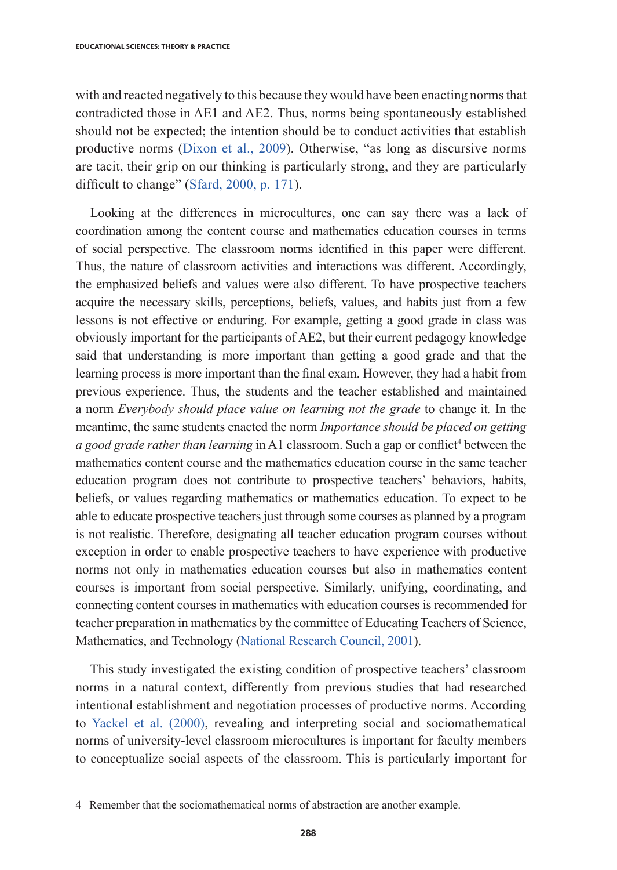with and reacted negatively to this because they would have been enacting norms that contradicted those in AE1 and AE2. Thus, norms being spontaneously established should not be expected; the intention should be to conduct activities that establish productive norms (Dixon et al., 2009). Otherwise, "as long as discursive norms are tacit, their grip on our thinking is particularly strong, and they are particularly difficult to change" (Sfard, 2000, p. 171).

Looking at the differences in microcultures, one can say there was a lack of coordination among the content course and mathematics education courses in terms of social perspective. The classroom norms identified in this paper were different. Thus, the nature of classroom activities and interactions was different. Accordingly, the emphasized beliefs and values were also different. To have prospective teachers acquire the necessary skills, perceptions, beliefs, values, and habits just from a few lessons is not effective or enduring. For example, getting a good grade in class was obviously important for the participants of AE2, but their current pedagogy knowledge said that understanding is more important than getting a good grade and that the learning process is more important than the final exam. However, they had a habit from previous experience. Thus, the students and the teacher established and maintained a norm *Everybody should place value on learning not the grade* to change it*.* In the meantime, the same students enacted the norm *Importance should be placed on getting*  a good grade rather than learning in A1 classroom. Such a gap or conflict<sup>4</sup> between the mathematics content course and the mathematics education course in the same teacher education program does not contribute to prospective teachers' behaviors, habits, beliefs, or values regarding mathematics or mathematics education. To expect to be able to educate prospective teachers just through some courses as planned by a program is not realistic. Therefore, designating all teacher education program courses without exception in order to enable prospective teachers to have experience with productive norms not only in mathematics education courses but also in mathematics content courses is important from social perspective. Similarly, unifying, coordinating, and connecting content courses in mathematics with education courses is recommended for teacher preparation in mathematics by the committee of Educating Teachers of Science, Mathematics, and Technology (National Research Council, 2001).

This study investigated the existing condition of prospective teachers' classroom norms in a natural context, differently from previous studies that had researched intentional establishment and negotiation processes of productive norms. According to Yackel et al. (2000), revealing and interpreting social and sociomathematical norms of university-level classroom microcultures is important for faculty members to conceptualize social aspects of the classroom. This is particularly important for

<sup>4</sup> Remember that the sociomathematical norms of abstraction are another example.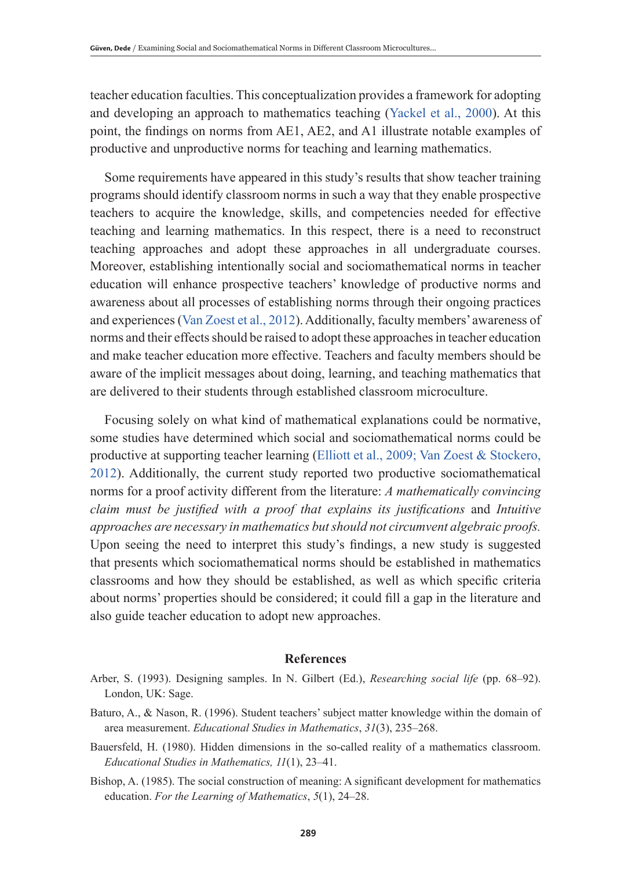teacher education faculties. This conceptualization provides a framework for adopting and developing an approach to mathematics teaching (Yackel et al., 2000). At this point, the findings on norms from AE1, AE2, and A1 illustrate notable examples of productive and unproductive norms for teaching and learning mathematics.

Some requirements have appeared in this study's results that show teacher training programs should identify classroom norms in such a way that they enable prospective teachers to acquire the knowledge, skills, and competencies needed for effective teaching and learning mathematics. In this respect, there is a need to reconstruct teaching approaches and adopt these approaches in all undergraduate courses. Moreover, establishing intentionally social and sociomathematical norms in teacher education will enhance prospective teachers' knowledge of productive norms and awareness about all processes of establishing norms through their ongoing practices and experiences (Van Zoest et al., 2012). Additionally, faculty members' awareness of norms and their effects should be raised to adopt these approaches in teacher education and make teacher education more effective. Teachers and faculty members should be aware of the implicit messages about doing, learning, and teaching mathematics that are delivered to their students through established classroom microculture.

Focusing solely on what kind of mathematical explanations could be normative, some studies have determined which social and sociomathematical norms could be productive at supporting teacher learning (Elliott et al., 2009; Van Zoest & Stockero, 2012). Additionally, the current study reported two productive sociomathematical norms for a proof activity different from the literature: *A mathematically convincing claim must be justified with a proof that explains its justifications* and *Intuitive approaches are necessary in mathematics but should not circumvent algebraic proofs.*  Upon seeing the need to interpret this study's findings, a new study is suggested that presents which sociomathematical norms should be established in mathematics classrooms and how they should be established, as well as which specific criteria about norms' properties should be considered; it could fill a gap in the literature and also guide teacher education to adopt new approaches.

## **References**

- Arber, S. (1993). Designing samples. In N. Gilbert (Ed.), *Researching social life* (pp. 68–92). London, UK: Sage.
- Baturo, A., & Nason, R. (1996). Student teachers' subject matter knowledge within the domain of area measurement. *Educational Studies in Mathematics*, *31*(3), 235–268.
- Bauersfeld, H. (1980). Hidden dimensions in the so-called reality of a mathematics classroom. *Educational Studies in Mathematics, 11*(1), 23–41.
- Bishop, A. (1985). The social construction of meaning: A significant development for mathematics education. *For the Learning of Mathematics*, *5*(1), 24–28.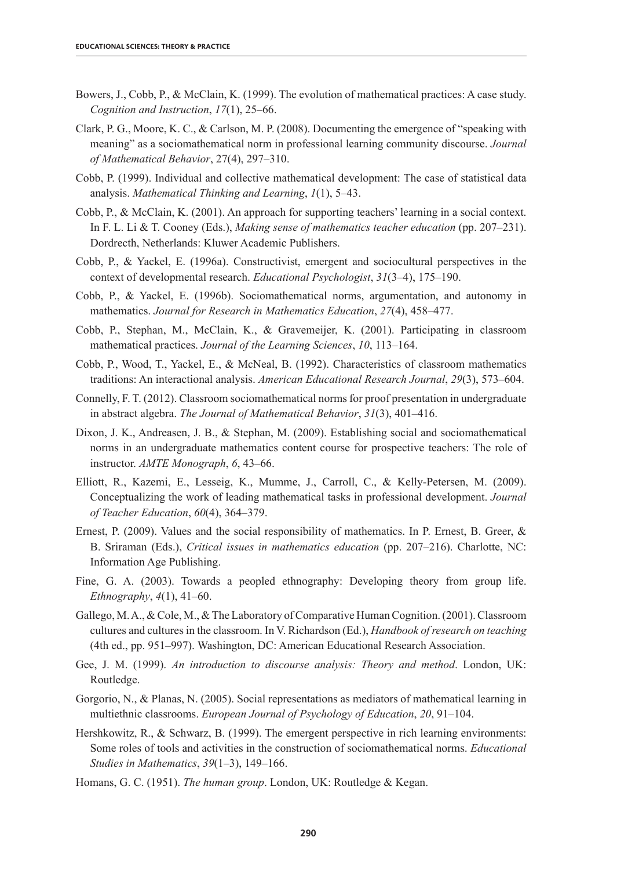- Bowers, J., Cobb, P., & McClain, K. (1999). The evolution of mathematical practices: A case study. *Cognition and Instruction*, *17*(1), 25–66.
- Clark, P. G., Moore, K. C., & Carlson, M. P. (2008). Documenting the emergence of "speaking with meaning" as a sociomathematical norm in professional learning community discourse. *Journal of Mathematical Behavior*, 27(4), 297–310.
- Cobb, P. (1999). Individual and collective mathematical development: The case of statistical data analysis. *Mathematical Thinking and Learning*, *1*(1), 5–43.
- Cobb, P., & McClain, K. (2001). An approach for supporting teachers' learning in a social context. In F. L. Li & T. Cooney (Eds.), *Making sense of mathematics teacher education* (pp. 207–231). Dordrecth, Netherlands: Kluwer Academic Publishers.
- Cobb, P., & Yackel, E. (1996a). Constructivist, emergent and sociocultural perspectives in the context of developmental research. *Educational Psychologist*, *31*(3–4), 175–190.
- Cobb, P., & Yackel, E. (1996b). Sociomathematical norms, argumentation, and autonomy in mathematics. *Journal for Research in Mathematics Education*, *27*(4), 458–477.
- Cobb, P., Stephan, M., McClain, K., & Gravemeijer, K. (2001). Participating in classroom mathematical practices. *Journal of the Learning Sciences*, *10*, 113–164.
- Cobb, P., Wood, T., Yackel, E., & McNeal, B. (1992). Characteristics of classroom mathematics traditions: An interactional analysis. *American Educational Research Journal*, *29*(3), 573–604.
- Connelly, F. T. (2012). Classroom sociomathematical norms for proof presentation in undergraduate in abstract algebra. *The Journal of Mathematical Behavior*, *31*(3), 401–416.
- Dixon, J. K., Andreasen, J. B., & Stephan, M. (2009). Establishing social and sociomathematical norms in an undergraduate mathematics content course for prospective teachers: The role of instructor. *AMTE Monograph*, *6*, 43–66.
- Elliott, R., Kazemi, E., Lesseig, K., Mumme, J., Carroll, C., & Kelly-Petersen, M. (2009). Conceptualizing the work of leading mathematical tasks in professional development. *Journal of Teacher Education*, *60*(4), 364–379.
- Ernest, P. (2009). Values and the social responsibility of mathematics. In P. Ernest, B. Greer, & B. Sriraman (Eds.), *Critical issues in mathematics education* (pp. 207–216). Charlotte, NC: Information Age Publishing.
- Fine, G. A. (2003). Towards a peopled ethnography: Developing theory from group life. *Ethnography*, *4*(1), 41–60.
- Gallego, M. A., & Cole, M., & The Laboratory of Comparative Human Cognition. (2001). Classroom cultures and cultures in the classroom. In V. Richardson (Ed.), *Handbook of research on teaching* (4th ed., pp. 951–997). Washington, DC: American Educational Research Association.
- Gee, J. M. (1999). *An introduction to discourse analysis: Theory and method*. London, UK: Routledge.
- Gorgorio, N., & Planas, N. (2005). Social representations as mediators of mathematical learning in multiethnic classrooms. *European Journal of Psychology of Education*, *20*, 91–104.
- Hershkowitz, R., & Schwarz, B. (1999). The emergent perspective in rich learning environments: Some roles of tools and activities in the construction of sociomathematical norms. *Educational Studies in Mathematics*, *39*(1–3), 149–166.
- Homans, G. C. (1951). *The human group*. London, UK: Routledge & Kegan.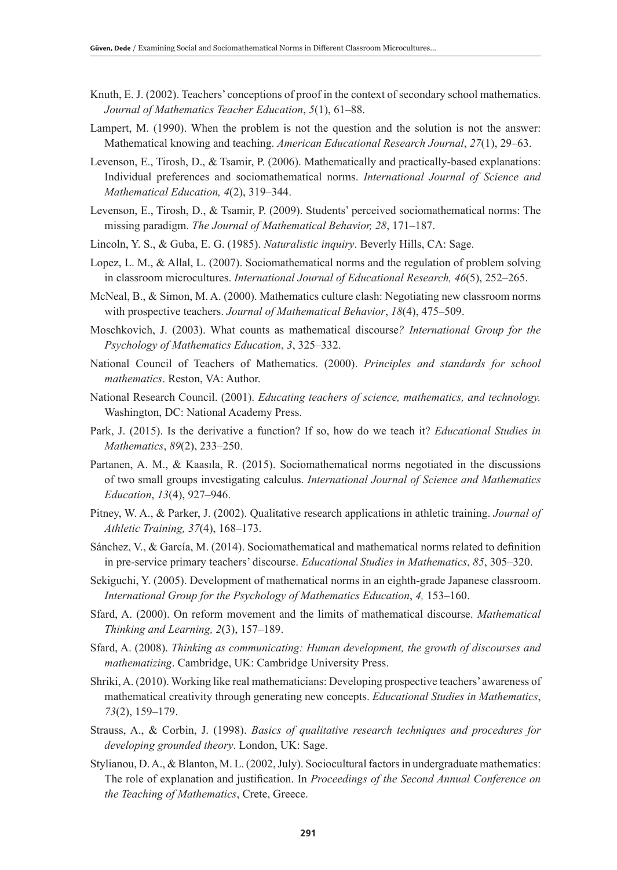- Knuth, E. J. (2002). Teachers' conceptions of proof in the context of secondary school mathematics. *Journal of Mathematics Teacher Education*, *5*(1), 61–88.
- Lampert, M. (1990). When the problem is not the question and the solution is not the answer: Mathematical knowing and teaching. *American Educational Research Journal*, *27*(1), 29–63.
- Levenson, E., Tirosh, D., & Tsamir, P. (2006). Mathematically and practically-based explanations: Individual preferences and sociomathematical norms. *International Journal of Science and Mathematical Education, 4*(2), 319–344.
- Levenson, E., Tirosh, D., & Tsamir, P. (2009). Students' perceived sociomathematical norms: The missing paradigm. *The Journal of Mathematical Behavior, 28*, 171–187.
- Lincoln, Y. S., & Guba, E. G. (1985). *Naturalistic inquiry*. Beverly Hills, CA: Sage.
- Lopez, L. M., & Allal, L. (2007). Sociomathematical norms and the regulation of problem solving in classroom microcultures. *International Journal of Educational Research, 46*(5), 252–265.
- McNeal, B., & Simon, M. A. (2000). Mathematics culture clash: Negotiating new classroom norms with prospective teachers. *Journal of Mathematical Behavior*, *18*(4), 475–509.
- Moschkovich, J. (2003). What counts as mathematical discourse*? International Group for the Psychology of Mathematics Education*, *3*, 325–332.
- National Council of Teachers of Mathematics. (2000). *Principles and standards for school mathematics*. Reston, VA: Author.
- National Research Council. (2001). *Educating teachers of science, mathematics, and technology.*  Washington, DC: National Academy Press.
- Park, J. (2015). Is the derivative a function? If so, how do we teach it? *Educational Studies in Mathematics*, *89*(2), 233–250.
- Partanen, A. M., & Kaasıla, R. (2015). Sociomathematical norms negotiated in the discussions of two small groups investigating calculus. *International Journal of Science and Mathematics Education*, *13*(4), 927–946.
- Pitney, W. A., & Parker, J. (2002). Qualitative research applications in athletic training. *Journal of Athletic Training, 37*(4), 168–173.
- Sánchez, V., & García, M. (2014). Sociomathematical and mathematical norms related to definition in pre-service primary teachers' discourse. *Educational Studies in Mathematics*, *85*, 305–320.
- Sekiguchi, Y. (2005). Development of mathematical norms in an eighth-grade Japanese classroom. *International Group for the Psychology of Mathematics Education*, *4,* 153–160.
- Sfard, A. (2000). On reform movement and the limits of mathematical discourse. *Mathematical Thinking and Learning, 2*(3), 157–189.
- Sfard, A. (2008). *Thinking as communicating: Human development, the growth of discourses and mathematizing*. Cambridge, UK: Cambridge University Press.
- Shriki, A. (2010). Working like real mathematicians: Developing prospective teachers' awareness of mathematical creativity through generating new concepts. *Educational Studies in Mathematics*, *73*(2), 159–179.
- Strauss, A., & Corbin, J. (1998). *Basics of qualitative research techniques and procedures for developing grounded theory*. London, UK: Sage.
- Stylianou, D. A., & Blanton, M. L. (2002, July). Sociocultural factors in undergraduate mathematics: The role of explanation and justification. In *Proceedings of the Second Annual Conference on the Teaching of Mathematics*, Crete, Greece.